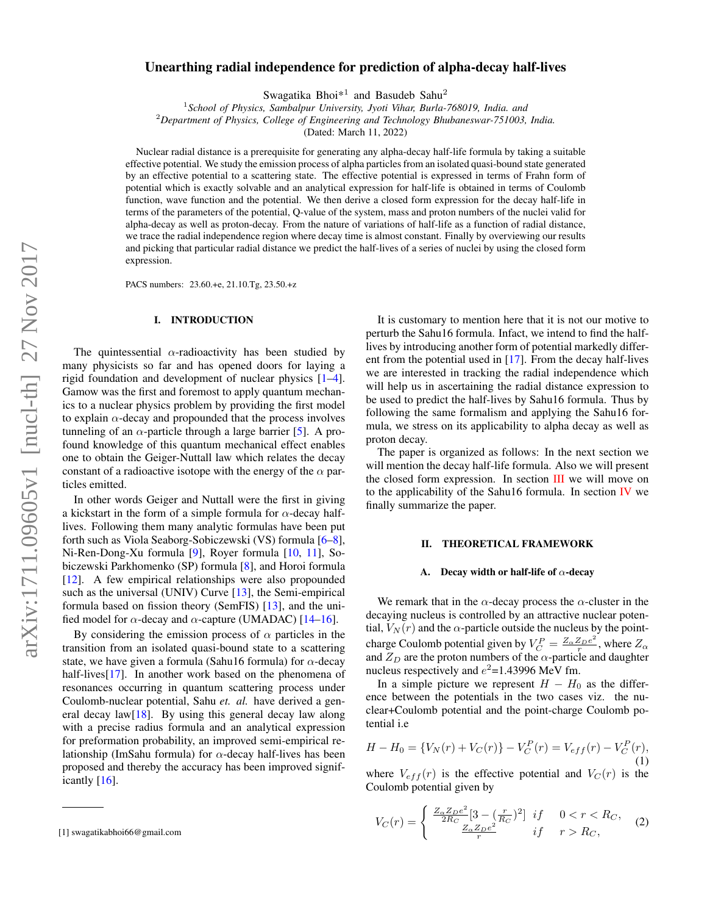# Unearthing radial independence for prediction of alpha-decay half-lives

Swagatika Bhoi<sup>\*1</sup> and Basudeb Sahu<sup>2</sup>

1 *School of Physics, Sambalpur University, Jyoti Vihar, Burla-768019, India. and*

<sup>2</sup>*Department of Physics, College of Engineering and Technology Bhubaneswar-751003, India.*

(Dated: March 11, 2022)

Nuclear radial distance is a prerequisite for generating any alpha-decay half-life formula by taking a suitable effective potential. We study the emission process of alpha particles from an isolated quasi-bound state generated by an effective potential to a scattering state. The effective potential is expressed in terms of Frahn form of potential which is exactly solvable and an analytical expression for half-life is obtained in terms of Coulomb function, wave function and the potential. We then derive a closed form expression for the decay half-life in terms of the parameters of the potential, Q-value of the system, mass and proton numbers of the nuclei valid for alpha-decay as well as proton-decay. From the nature of variations of half-life as a function of radial distance, we trace the radial independence region where decay time is almost constant. Finally by overviewing our results and picking that particular radial distance we predict the half-lives of a series of nuclei by using the closed form expression.

PACS numbers: 23.60.+e, 21.10.Tg, 23.50.+z

#### I. INTRODUCTION

The quintessential  $\alpha$ -radioactivity has been studied by many physicists so far and has opened doors for laying a rigid foundation and development of nuclear physics [\[1](#page-11-0)[–4\]](#page-11-1). Gamow was the first and foremost to apply quantum mechanics to a nuclear physics problem by providing the first model to explain  $\alpha$ -decay and propounded that the process involves tunneling of an  $\alpha$ -particle through a large barrier [\[5\]](#page-11-2). A profound knowledge of this quantum mechanical effect enables one to obtain the Geiger-Nuttall law which relates the decay constant of a radioactive isotope with the energy of the  $\alpha$  particles emitted.

In other words Geiger and Nuttall were the first in giving a kickstart in the form of a simple formula for  $\alpha$ -decay halflives. Following them many analytic formulas have been put forth such as Viola Seaborg-Sobiczewski (VS) formula [\[6](#page-11-3)[–8\]](#page-11-4), Ni-Ren-Dong-Xu formula [\[9\]](#page-11-5), Royer formula [\[10,](#page-11-6) [11\]](#page-11-7), Sobiczewski Parkhomenko (SP) formula [\[8\]](#page-11-4), and Horoi formula [\[12\]](#page-11-8). A few empirical relationships were also propounded such as the universal (UNIV) Curve  $[13]$ , the Semi-empirical formula based on fission theory (SemFIS) [\[13\]](#page-11-9), and the unified model for  $\alpha$ -decay and  $\alpha$ -capture (UMADAC) [\[14–](#page-11-10)[16\]](#page-11-11).

By considering the emission process of  $\alpha$  particles in the transition from an isolated quasi-bound state to a scattering state, we have given a formula (Sahu16 formula) for  $\alpha$ -decay half-lives[\[17\]](#page-11-12). In another work based on the phenomena of resonances occurring in quantum scattering process under Coulomb-nuclear potential, Sahu *et. al.* have derived a general decay law $[18]$ . By using this general decay law along with a precise radius formula and an analytical expression for preformation probability, an improved semi-empirical relationship (ImSahu formula) for  $\alpha$ -decay half-lives has been proposed and thereby the accuracy has been improved significantly [\[16\]](#page-11-11).

It is customary to mention here that it is not our motive to perturb the Sahu16 formula. Infact, we intend to find the halflives by introducing another form of potential markedly different from the potential used in [\[17\]](#page-11-12). From the decay half-lives we are interested in tracking the radial independence which will help us in ascertaining the radial distance expression to be used to predict the half-lives by Sahu16 formula. Thus by following the same formalism and applying the Sahu16 formula, we stress on its applicability to alpha decay as well as proton decay.

The paper is organized as follows: In the next section we will mention the decay half-life formula. Also we will present the closed form expression. In section [III](#page-3-0) we will move on to the applicability of the Sahu16 formula. In section  $\overline{IV}$  $\overline{IV}$  $\overline{IV}$  we finally summarize the paper.

#### II. THEORETICAL FRAMEWORK

#### A. Decay width or half-life of  $\alpha$ -decay

We remark that in the  $\alpha$ -decay process the  $\alpha$ -cluster in the decaying nucleus is controlled by an attractive nuclear potential,  $V_N(r)$  and the  $\alpha$ -particle outside the nucleus by the pointcharge Coulomb potential given by  $V_C^P = \frac{Z_\alpha Z_D e^2}{r}$  $\frac{Z_D e^2}{r}$ , where  $Z_\alpha$ and  $Z_D$  are the proton numbers of the  $\alpha$ -particle and daughter nucleus respectively and  $e^2$ =1.43996 MeV fm.

In a simple picture we represent  $H - H_0$  as the difference between the potentials in the two cases viz. the nuclear+Coulomb potential and the point-charge Coulomb potential i.e

$$
H - H_0 = \{V_N(r) + V_C(r)\} - V_C^P(r) = V_{eff}(r) - V_C^P(r),
$$
\n(1)

where  $V_{eff}(r)$  is the effective potential and  $V_C(r)$  is the Coulomb potential given by

$$
V_C(r) = \begin{cases} \frac{Z_{\alpha}Z_{D}e^2}{2R_C} [3 - (\frac{r}{R_C})^2] & if \quad 0 < r < R_C, \\ \frac{Z_{\alpha}Z_{D}e^2}{r} & if \quad r > R_C, \end{cases}
$$
 (2)

<sup>[1]</sup> swagatikabhoi66@gmail.com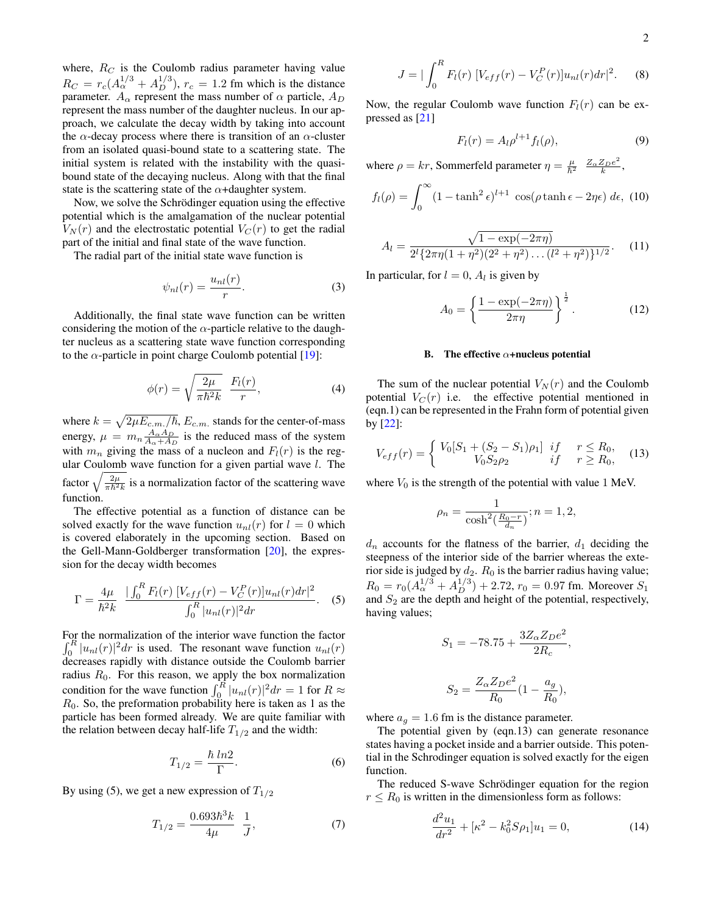where,  $R_C$  is the Coulomb radius parameter having value  $R_C = r_c(A_\alpha^{1/3} + A_D^{1/3})$ ,  $r_c = 1.2$  fm which is the distance parameter.  $A_{\alpha}$  represent the mass number of  $\alpha$  particle,  $A_D$ represent the mass number of the daughter nucleus. In our approach, we calculate the decay width by taking into account the  $\alpha$ -decay process where there is transition of an  $\alpha$ -cluster from an isolated quasi-bound state to a scattering state. The initial system is related with the instability with the quasibound state of the decaying nucleus. Along with that the final state is the scattering state of the  $\alpha$ +daughter system.

Now, we solve the Schrödinger equation using the effective potential which is the amalgamation of the nuclear potential  $V_N(r)$  and the electrostatic potential  $V_C(r)$  to get the radial part of the initial and final state of the wave function.

The radial part of the initial state wave function is

$$
\psi_{nl}(r) = \frac{u_{nl}(r)}{r}.\tag{3}
$$

Additionally, the final state wave function can be written considering the motion of the  $\alpha$ -particle relative to the daughter nucleus as a scattering state wave function corresponding to the  $\alpha$ -particle in point charge Coulomb potential [\[19\]](#page-11-14):

$$
\phi(r) = \sqrt{\frac{2\mu}{\pi\hbar^2 k}} \frac{F_l(r)}{r},\tag{4}
$$

where  $k = \sqrt{2\mu E_{c.m.}/\hbar}$ ,  $E_{c.m.}$  stands for the center-of-mass energy,  $\mu = m_n \frac{A_{\alpha} A_D}{A_{\alpha} + A_D}$  is the reduced mass of the system with  $m_n$  giving the mass of a nucleon and  $F_l(r)$  is the regular Coulomb wave function for a given partial wave l. The factor  $\sqrt{\frac{2\mu}{\pi\hbar^2 k}}$  is a normalization factor of the scattering wave function.

The effective potential as a function of distance can be solved exactly for the wave function  $u_{nl}(r)$  for  $l = 0$  which is covered elaborately in the upcoming section. Based on the Gell-Mann-Goldberger transformation [\[20\]](#page-11-15), the expression for the decay width becomes

$$
\Gamma = \frac{4\mu}{\hbar^2 k} \frac{|\int_0^R F_l(r) [V_{eff}(r) - V_C^P(r)] u_{nl}(r) dr|^2}{\int_0^R |u_{nl}(r)|^2 dr}.
$$
 (5)

For the normalization of the interior wave function the factor  $\int_0^R |u_{nl}(r)|^2 dr$  is used. The resonant wave function  $u_{nl}(r)$ decreases rapidly with distance outside the Coulomb barrier radius  $R_0$ . For this reason, we apply the box normalization condition for the wave function  $\int_0^R |u_{nl}(r)|^2 dr = 1$  for  $R \approx$  $R_0$ . So, the preformation probability here is taken as 1 as the particle has been formed already. We are quite familiar with the relation between decay half-life  $T_{1/2}$  and the width:

$$
T_{1/2} = \frac{\hbar \ln 2}{\Gamma}.
$$
 (6)

By using (5), we get a new expression of  $T_{1/2}$ 

$$
T_{1/2} = \frac{0.693\hbar^3 k}{4\mu} \frac{1}{J},\tag{7}
$$

$$
J = |\int_0^R F_l(r) [V_{eff}(r) - V_C^P(r)]u_{nl}(r)dr|^2.
$$
 (8)

Now, the regular Coulomb wave function  $F_l(r)$  can be expressed as [\[21\]](#page-11-16)

$$
F_l(r) = A_l \rho^{l+1} f_l(\rho), \qquad (9)
$$

where  $\rho = kr$ , Sommerfeld parameter  $\eta = \frac{\mu}{\hbar^2} \frac{Z_{\alpha}Z_{D}e^2}{k}$  $\frac{\sum_{D}e^{-}}{k},$ 

$$
f_l(\rho) = \int_0^\infty (1 - \tanh^2 \epsilon)^{l+1} \cos(\rho \tanh \epsilon - 2\eta \epsilon) d\epsilon, (10)
$$

$$
A_{l} = \frac{\sqrt{1 - \exp(-2\pi\eta)}}{2^{l} \{2\pi\eta(1 + \eta^{2})(2^{2} + \eta^{2}) \dots (l^{2} + \eta^{2})\}^{1/2}}.
$$
 (11)

In particular, for  $l = 0$ ,  $A_l$  is given by

$$
A_0 = \left\{ \frac{1 - \exp(-2\pi\eta)}{2\pi\eta} \right\}^{\frac{1}{2}}.
$$
 (12)

### B. The effective  $\alpha$ +nucleus potential

The sum of the nuclear potential  $V_N(r)$  and the Coulomb potential  $V_C(r)$  i.e. the effective potential mentioned in (eqn.1) can be represented in the Frahn form of potential given by [\[22\]](#page-11-17):

$$
V_{eff}(r) = \begin{cases} V_0[S_1 + (S_2 - S_1)\rho_1] & \text{if } r \le R_0, \\ V_0 S_2 \rho_2 & \text{if } r \ge R_0, \end{cases}
$$
 (13)

where  $V_0$  is the strength of the potential with value 1 MeV.

$$
\rho_n = \frac{1}{\cosh^2(\frac{R_0 - r}{d_n})}; n = 1, 2,
$$

 $d_n$  accounts for the flatness of the barrier,  $d_1$  deciding the steepness of the interior side of the barrier whereas the exterior side is judged by  $d_2$ .  $R_0$  is the barrier radius having value;  $R_0 = r_0 (A_\alpha^{1/3} + A_D^{1/3}) + 2.72, r_0 = 0.97$  fm. Moreover  $S_1$ and  $S_2$  are the depth and height of the potential, respectively, having values;

$$
S_1 = -78.75 + \frac{3Z_{\alpha}Z_{D}e^2}{2R_c},
$$
  

$$
S_2 = \frac{Z_{\alpha}Z_{D}e^2}{R_0}(1 - \frac{a_g}{R_0}),
$$

where  $a_g = 1.6$  fm is the distance parameter.

The potential given by (eqn.13) can generate resonance states having a pocket inside and a barrier outside. This potential in the Schrodinger equation is solved exactly for the eigen function.

The reduced S-wave Schrödinger equation for the region  $r \leq R_0$  is written in the dimensionless form as follows:

$$
\frac{d^2u_1}{dr^2} + [\kappa^2 - k_0^2 S \rho_1]u_1 = 0,\t\t(14)
$$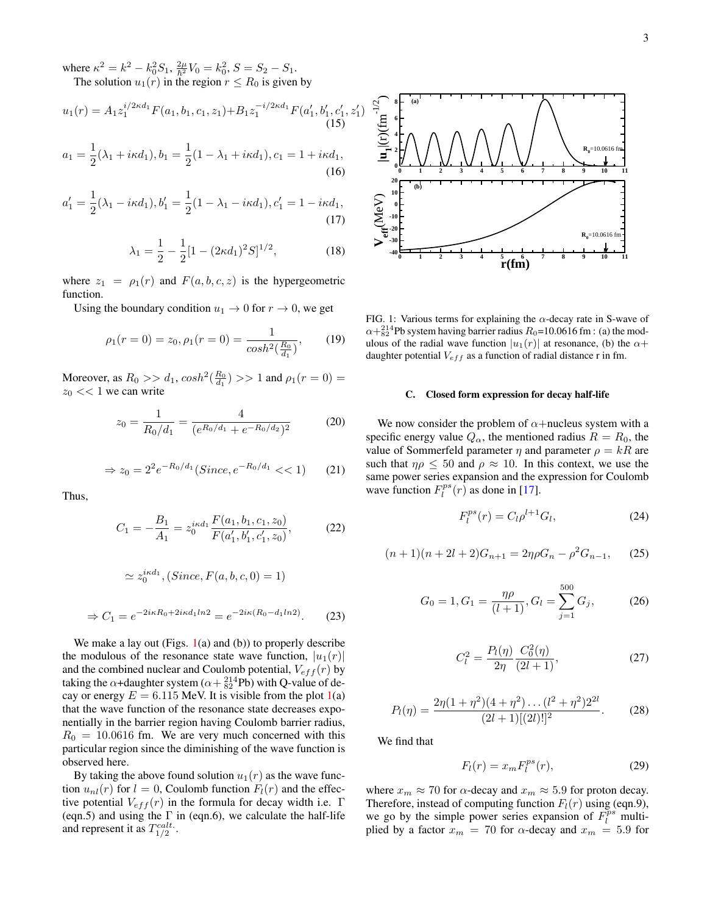where  $\kappa^2 = k^2 - k_0^2 S_1$ ,  $\frac{2\mu}{\hbar^2} V_0 = k_0^2$ ,  $S = S_2 - S_1$ . The solution  $u_1(r)$  in the region  $r \leq R_0$  is given by

$$
u_1(r) = A_1 z_1^{i/2 \kappa d_1} F(a_1, b_1, c_1, z_1) + B_1 z_1^{-i/2 \kappa d_1} F(a'_1, b'_1, c'_1, z'_1)
$$
\n(15)

$$
a_1 = \frac{1}{2}(\lambda_1 + i\kappa d_1), b_1 = \frac{1}{2}(1 - \lambda_1 + i\kappa d_1), c_1 = 1 + i\kappa d_1,
$$
\n(16)

$$
a'_1 = \frac{1}{2}(\lambda_1 - i\kappa d_1), b'_1 = \frac{1}{2}(1 - \lambda_1 - i\kappa d_1), c'_1 = 1 - i\kappa d_1,
$$
\n(17)

$$
\lambda_1 = \frac{1}{2} - \frac{1}{2} [1 - (2\kappa d_1)^2 S]^{1/2},\tag{18}
$$

where  $z_1 = \rho_1(r)$  and  $F(a, b, c, z)$  is the hypergeometric function.

Using the boundary condition  $u_1 \to 0$  for  $r \to 0$ , we get

$$
\rho_1(r=0) = z_0, \rho_1(r=0) = \frac{1}{\cosh^2(\frac{R_0}{d_1})},\qquad(19)
$$

Moreover, as  $R_0 >> d_1$ ,  $cosh^2(\frac{R_0}{d_1}) >> 1$  and  $\rho_1(r = 0) =$  $z_0 \ll 1$  we can write

$$
z_0 = \frac{1}{R_0/d_1} = \frac{4}{(e^{R_0/d_1} + e^{-R_0/d_2})^2}
$$
(20)

$$
\Rightarrow z_0 = 2^2 e^{-R_0/d_1} (Since, e^{-R_0/d_1} << 1) \qquad (21)
$$

Thus,

$$
C_1 = -\frac{B_1}{A_1} = z_0^{i\kappa d_1} \frac{F(a_1, b_1, c_1, z_0)}{F(a'_1, b'_1, c'_1, z_0)},\tag{22}
$$

$$
\simeq z_0^{i\kappa d_1}, (Since, F(a, b, c, 0) = 1)
$$

$$
\Rightarrow C_1 = e^{-2i\kappa R_0 + 2i\kappa d_1 ln_2} = e^{-2i\kappa (R_0 - d_1 ln_2)}.
$$
(23)

We make a lay out (Figs.  $1(a)$  $1(a)$  and (b)) to properly describe the modulous of the resonance state wave function,  $|u_1(r)|$ and the combined nuclear and Coulomb potential,  $V_{eff}(r)$  by taking the  $\alpha$ +daughter system ( $\alpha + \frac{214}{82}Pb$ ) with Q-value of decay or energy  $E = 6.115$  MeV. It is visible from the plot  $1(a)$  $1(a)$ that the wave function of the resonance state decreases exponentially in the barrier region having Coulomb barrier radius,  $R_0 = 10.0616$  fm. We are very much concerned with this particular region since the diminishing of the wave function is observed here.

By taking the above found solution  $u_1(r)$  as the wave function  $u_{nl}(r)$  for  $l = 0$ , Coulomb function  $F_l(r)$  and the effective potential  $V_{eff}(r)$  in the formula for decay width i.e.  $\Gamma$ (eqn.5) and using the  $\Gamma$  in (eqn.6), we calculate the half-life and represent it as  $T_{1/2}^{calt}$ .



<span id="page-2-0"></span>FIG. 1: Various terms for explaining the  $\alpha$ -decay rate in S-wave of  $\alpha +_{82}^{214}$ Pb system having barrier radius  $R_0$ =10.0616 fm : (a) the modulous of the radial wave function  $|u_1(r)|$  at resonance, (b) the  $\alpha+$ daughter potential  $V_{eff}$  as a function of radial distance r in fm.

# C. Closed form expression for decay half-life

We now consider the problem of  $\alpha$ +nucleus system with a specific energy value  $Q_{\alpha}$ , the mentioned radius  $R = R_0$ , the value of Sommerfeld parameter  $\eta$  and parameter  $\rho = kR$  are such that  $\eta \rho \leq 50$  and  $\rho \approx 10$ . In this context, we use the same power series expansion and the expression for Coulomb wave function  $F_l^{ps}(r)$  as done in [\[17\]](#page-11-12).

$$
F_l^{ps}(r) = C_l \rho^{l+1} G_l,
$$
\n(24)

$$
(n+1)(n+2l+2)G_{n+1} = 2\eta\rho G_n - \rho^2 G_{n-1},
$$
 (25)

$$
G_0 = 1, G_1 = \frac{\eta \rho}{(l+1)}, G_l = \sum_{j=1}^{500} G_j,
$$
 (26)

$$
C_l^2 = \frac{P_l(\eta)}{2\eta} \frac{C_0^2(\eta)}{(2l+1)},
$$
\n(27)

$$
P_l(\eta) = \frac{2\eta(1+\eta^2)(4+\eta^2)\dots(l^2+\eta^2)2^{2l}}{(2l+1)[(2l)!]^2}.
$$
 (28)

We find that

$$
F_l(r) = x_m F_l^{ps}(r),\tag{29}
$$

where  $x_m \approx 70$  for  $\alpha$ -decay and  $x_m \approx 5.9$  for proton decay. Therefore, instead of computing function  $F_l(r)$  using (eqn.9), we go by the simple power series expansion of  $F_l^{ps}$  multiplied by a factor  $x_m = 70$  for  $\alpha$ -decay and  $x_m = 5.9$  for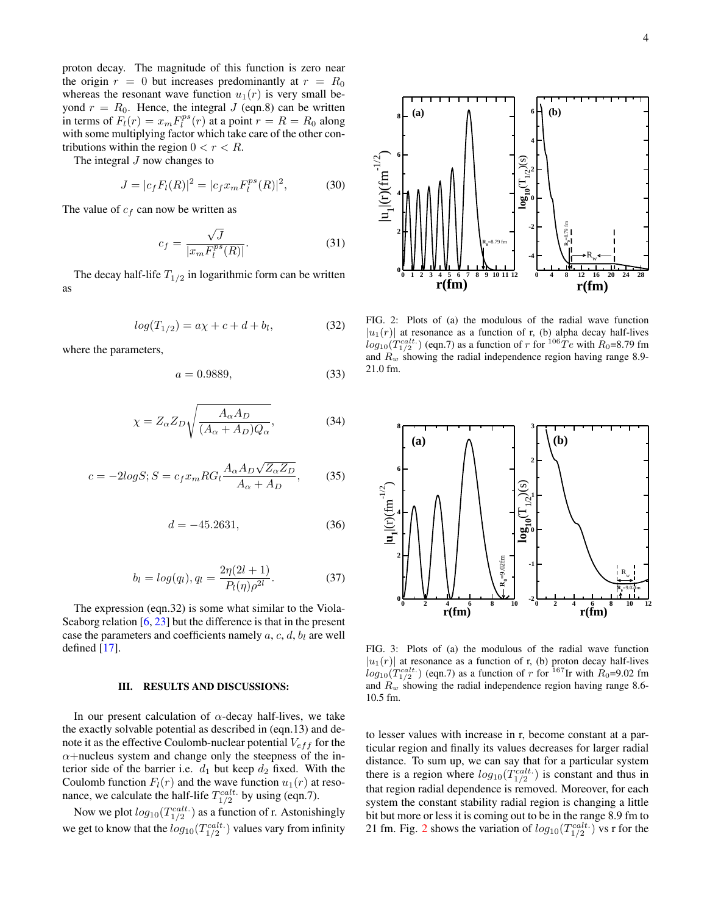proton decay. The magnitude of this function is zero near the origin  $r = 0$  but increases predominantly at  $r = R_0$ whereas the resonant wave function  $u_1(r)$  is very small beyond  $r = R_0$ . Hence, the integral J (eqn.8) can be written in terms of  $F_l(r) = x_m F_l^{ps}(r)$  at a point  $r = R = R_0$  along with some multiplying factor which take care of the other contributions within the region  $0 < r < R$ .

The integral J now changes to

$$
J = |c_f F_l(R)|^2 = |c_f x_m F_l^{ps}(R)|^2,
$$
 (30)

The value of  $c_f$  can now be written as

$$
c_f = \frac{\sqrt{J}}{|x_m F_l^{ps}(R)|}.
$$
\n(31)

The decay half-life  $T_{1/2}$  in logarithmic form can be written as

$$
log(T_{1/2}) = a\chi + c + d + b_l,
$$
 (32)

where the parameters,

$$
a = 0.9889,\t(33)
$$

$$
\chi = Z_{\alpha} Z_D \sqrt{\frac{A_{\alpha} A_D}{(A_{\alpha} + A_D) Q_{\alpha}}},\tag{34}
$$

$$
c = -2logS; S = c_f x_m R G_l \frac{A_\alpha A_D \sqrt{Z_\alpha Z_D}}{A_\alpha + A_D},
$$
 (35)

$$
d = -45.2631,\t(36)
$$

$$
b_l = log(q_l), q_l = \frac{2\eta(2l+1)}{P_l(\eta)\rho^{2l}}.
$$
\n(37)

The expression (eqn.32) is some what similar to the Viola-Seaborg relation [\[6,](#page-11-3) [23\]](#page-11-18) but the difference is that in the present case the parameters and coefficients namely  $a, c, d, b<sub>l</sub>$  are well defined [\[17\]](#page-11-12).

### <span id="page-3-0"></span>III. RESULTS AND DISCUSSIONS:

In our present calculation of  $\alpha$ -decay half-lives, we take the exactly solvable potential as described in (eqn.13) and denote it as the effective Coulomb-nuclear potential  $V_{eff}$  for the  $\alpha$ +nucleus system and change only the steepness of the interior side of the barrier i.e.  $d_1$  but keep  $d_2$  fixed. With the Coulomb function  $F_l(r)$  and the wave function  $u_1(r)$  at resonance, we calculate the half-life  $T_{1/2}^{calt}$ . by using (eqn.7).

Now we plot  $log_{10}(T_{1/2}^{calt})$  as a function of r. Astonishingly we get to know that the  $log_{10}(T_{1/2}^{calt.})$  values vary from infinity



<span id="page-3-1"></span>FIG. 2: Plots of (a) the modulous of the radial wave function  $|u_1(r)|$  at resonance as a function of r, (b) alpha decay half-lives  $log_{10}(T_{1/2}^{calt.})$  (eqn.7) as a function of  $r$  for  $^{106}Te$  with  $R_0$ =8.79 fm and  $R_w$  showing the radial independence region having range 8.9-21.0 fm.



<span id="page-3-2"></span>FIG. 3: Plots of (a) the modulous of the radial wave function  $|u_1(r)|$  at resonance as a function of r, (b) proton decay half-lives  $log_{10}(T_{1/2}^{calt.})$  (eqn.7) as a function of r for  $^{167}$ Ir with  $R_0$ =9.02 fm and  $R_w$  showing the radial independence region having range 8.6-10.5 fm.

to lesser values with increase in r, become constant at a particular region and finally its values decreases for larger radial distance. To sum up, we can say that for a particular system there is a region where  $log_{10}(T_{1/2}^{calt})$  is constant and thus in that region radial dependence is removed. Moreover, for each system the constant stability radial region is changing a little bit but more or less it is coming out to be in the range 8.9 fm to [2](#page-3-1)1 fm. Fig. 2 shows the variation of  $log_{10}(T_{1/2}^{calt})$  vs r for the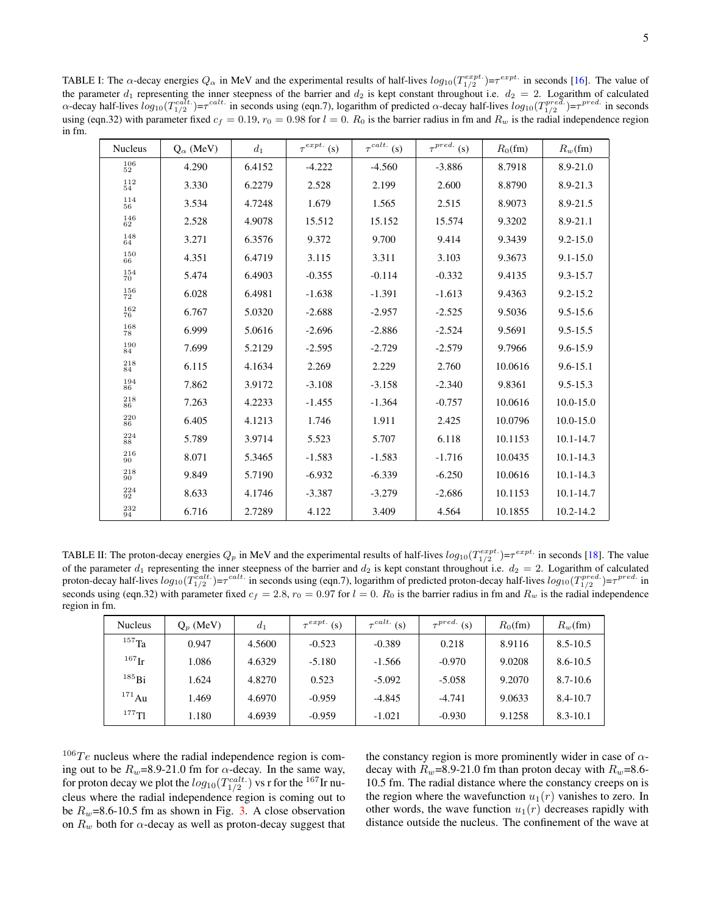<span id="page-4-0"></span>TABLE I: The  $\alpha$ -decay energies  $Q_{\alpha}$  in MeV and the experimental results of half-lives  $log_{10}(T_{1/2}^{expt.}) = \tau^{expt.}$  in seconds [\[16\]](#page-11-11). The value of the parameter  $d_1$  representing the inner steepness of the barrier and  $d_2$  is kept constant throughout i.e.  $d_2 = 2$ . Logarithm of calculated  $\alpha$ -decay half-lives  $log_{10}(T_{1/2}^{calt})$ = $\tau^{calt}$  in seconds using (eqn.7), logarithm of predicted  $\alpha$ -decay half-lives  $log_{10}(T_{1/2}^{pred.})$ = $\tau^{pred.}$  in seconds using (eqn.32) with parameter fixed  $c_f = 0.19$ ,  $r_0 = 0.98$  for  $l = 0$ .  $R_0$  is the barrier radius in fm and  $R_w$  is the radial independence region in fm.

| <b>Nucleus</b>         | $Q_{\alpha}$ (MeV) | $d_1$  | $\tau^{expt.}$ (s) | $\tau^{cat.}$ (s) | $\tau^{pred.}$ (s) | $R_0$ (fm) | $R_w$ (fm)    |
|------------------------|--------------------|--------|--------------------|-------------------|--------------------|------------|---------------|
| 106<br>52              | 4.290              | 6.4152 | $-4.222$           | $-4.560$          | $-3.886$           | 8.7918     | 8.9-21.0      |
| 112<br>54              | 3.330              | 6.2279 | 2.528              | 2.199             | 2.600              | 8.8790     | 8.9-21.3      |
| 114<br>56              | 3.534              | 4.7248 | 1.679              | 1.565             | 2.515              | 8.9073     | 8.9-21.5      |
| 146<br>62              | 2.528              | 4.9078 | 15.512             | 15.152            | 15.574             | 9.3202     | 8.9-21.1      |
| 148<br>64              | 3.271              | 6.3576 | 9.372              | 9.700             | 9.414              | 9.3439     | $9.2 - 15.0$  |
| 150<br>66              | 4.351              | 6.4719 | 3.115              | 3.311             | 3.103              | 9.3673     | $9.1 - 15.0$  |
| 154<br>70              | 5.474              | 6.4903 | $-0.355$           | $-0.114$          | $-0.332$           | 9.4135     | $9.3 - 15.7$  |
| 156<br>72              | 6.028              | 6.4981 | $-1.638$           | $-1.391$          | $-1.613$           | 9.4363     | $9.2 - 15.2$  |
| 162<br>76              | 6.767              | 5.0320 | $-2.688$           | $-2.957$          | $-2.525$           | 9.5036     | $9.5 - 15.6$  |
| 168<br>78              | 6.999              | 5.0616 | $-2.696$           | $-2.886$          | $-2.524$           | 9.5691     | $9.5 - 15.5$  |
| $\substack{190 \\ 84}$ | 7.699              | 5.2129 | $-2.595$           | $-2.729$          | $-2.579$           | 9.7966     | $9.6 - 15.9$  |
| 218<br>84              | 6.115              | 4.1634 | 2.269              | 2.229             | 2.760              | 10.0616    | $9.6 - 15.1$  |
| 194<br>86              | 7.862              | 3.9172 | $-3.108$           | $-3.158$          | $-2.340$           | 9.8361     | $9.5 - 15.3$  |
| 218<br>86              | 7.263              | 4.2233 | $-1.455$           | $-1.364$          | $-0.757$           | 10.0616    | $10.0 - 15.0$ |
| 220<br>86              | 6.405              | 4.1213 | 1.746              | 1.911             | 2.425              | 10.0796    | $10.0 - 15.0$ |
| 224<br>88              | 5.789              | 3.9714 | 5.523              | 5.707             | 6.118              | 10.1153    | $10.1 - 14.7$ |
| $\substack{216\\90}$   | 8.071              | 5.3465 | $-1.583$           | $-1.583$          | $-1.716$           | 10.0435    | $10.1 - 14.3$ |
| $^{218}_{90}$          | 9.849              | 5.7190 | $-6.932$           | $-6.339$          | $-6.250$           | 10.0616    | $10.1 - 14.3$ |
| $\substack{224 \\ 92}$ | 8.633              | 4.1746 | $-3.387$           | $-3.279$          | $-2.686$           | 10.1153    | $10.1 - 14.7$ |
| $\substack{232\\94}$   | 6.716              | 2.7289 | 4.122              | 3.409             | 4.564              | 10.1855    | $10.2 - 14.2$ |

<span id="page-4-1"></span>TABLE II: The proton-decay energies  $Q_p$  in MeV and the experimental results of half-lives  $log_{10}(T_{1/2}^{expt.}) = \tau^{expt.}$  in seconds [\[18\]](#page-11-13). The value of the parameter  $d_1$  representing the inner steepness of the barrier and  $d_2$  is kept constant throughout i.e.  $d_2 = 2$ . Logarithm of calculated proton-decay half-lives  $log_{10}(T_{1/2}^{calt}) = \tau^{calt.}$  in seconds using (eqn.7), logarithm of predicted proton-decay half-lives  $log_{10}(T_{1/2}^{pred.}) = \tau^{pred.}$  in seconds using (eqn.32) with parameter fixed  $c_f = 2.8$ ,  $r_0 = 0.97$  for  $l = 0$ .  $R_0$  is the barrier radius in fm and  $R_w$  is the radial independence region in fm.

| <b>Nucleus</b>    | $Q_p$ (MeV) | $d_1$  | $\tau^{expt.}$ (s) | $\tau^{cat.}$ (s) | $\tau^{pred.}$ (s) | $R_0$ (fm) | $R_w$ (fm)   |
|-------------------|-------------|--------|--------------------|-------------------|--------------------|------------|--------------|
| $157$ Ta          | 0.947       | 4.5600 | $-0.523$           | $-0.389$          | 0.218              | 8.9116     | $8.5 - 10.5$ |
| 167 <sub>Ir</sub> | 1.086       | 4.6329 | $-5.180$           | $-1.566$          | $-0.970$           | 9.0208     | $8.6 - 10.5$ |
| $^{185}$ Bi       | 1.624       | 4.8270 | 0.523              | $-5.092$          | $-5.058$           | 9.2070     | $8.7 - 10.6$ |
| $171$ Au          | 1.469       | 4.6970 | $-0.959$           | $-4.845$          | $-4.741$           | 9.0633     | 8.4-10.7     |
| $177$ Tl          | 1.180       | 4.6939 | $-0.959$           | $-1.021$          | $-0.930$           | 9.1258     | $8.3 - 10.1$ |

 $106Te$  nucleus where the radial independence region is coming out to be  $R_w$ =8.9-21.0 fm for  $\alpha$ -decay. In the same way, for proton decay we plot the  $log_{10}(T_{1/2}^{calt.})$  vs r for the  $^{167}{\rm Ir}$  nucleus where the radial independence region is coming out to be  $R_w$ =8.6-10.5 fm as shown in Fig. [3.](#page-3-2) A close observation on  $R_w$  both for  $\alpha$ -decay as well as proton-decay suggest that

the constancy region is more prominently wider in case of  $\alpha$ decay with  $R_w$ =8.9-21.0 fm than proton decay with  $R_w$ =8.6-10.5 fm. The radial distance where the constancy creeps on is the region where the wavefunction  $u_1(r)$  vanishes to zero. In other words, the wave function  $u_1(r)$  decreases rapidly with distance outside the nucleus. The confinement of the wave at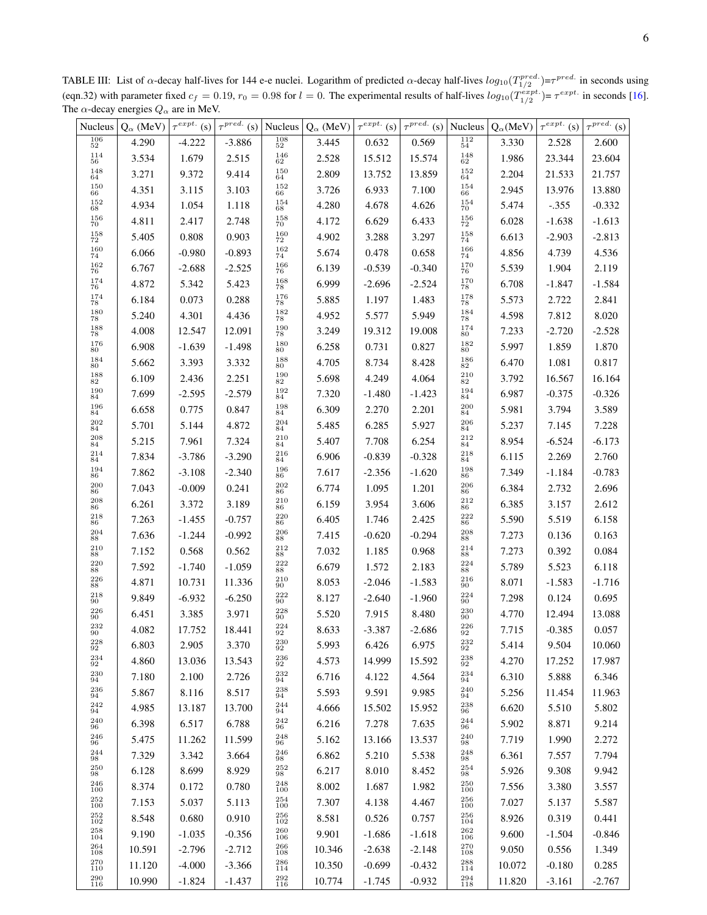<span id="page-5-0"></span>TABLE III: List of  $\alpha$ -decay half-lives for 144 e-e nuclei. Logarithm of predicted  $\alpha$ -decay half-lives  $log_{10}(T_{1/2}^{pred.}) = \tau^{pred.}$  in seconds using (eqn.32) with parameter fixed  $c_f = 0.19$ ,  $r_0 = 0.98$  for  $l = 0$ . The experimental results of half-lives  $log_{10}(T_{1/2}^{expt.}) = \tau^{expt.}$  in seconds [\[16\]](#page-11-11). The  $\alpha$ -decay energies  $Q_{\alpha}$  are in MeV.

|                                          | Nucleus $\left  Q_{\alpha} \left( M eV \right) \right  \tau^{expt.}$ (s) $\left  \tau^{pred.} \right $ (s) Nucleus $\left  Q_{\alpha} \left( M eV \right) \right  \tau^{expt.}$ (s) $\left  \tau^{pred.} \right $ (s) Nucleus $\left  Q_{\alpha} \left( M eV \right) \right  \tau^{expt.}$ (s) $\left  \tau^{pred.} \right $ (s) |          |                 |                                          |        |          |                |                                           |        |          |          |
|------------------------------------------|----------------------------------------------------------------------------------------------------------------------------------------------------------------------------------------------------------------------------------------------------------------------------------------------------------------------------------|----------|-----------------|------------------------------------------|--------|----------|----------------|-------------------------------------------|--------|----------|----------|
| 106<br>52                                | 4.290                                                                                                                                                                                                                                                                                                                            | $-4.222$ | $-3.886$        | $\frac{108}{52}$                         | 3.445  | 0.632    | 0.569          | $\frac{112}{54}$                          | 3.330  | 2.528    | 2.600    |
| $\substack{114\\56}$                     | 3.534                                                                                                                                                                                                                                                                                                                            | 1.679    | 2.515           | $\substack{146\\62}$                     | 2.528  | 15.512   | 15.574         | $\begin{array}{c} 148 \\ 62 \end{array}$  | 1.986  | 23.344   | 23.604   |
| $\substack{148\\64}$                     | 3.271                                                                                                                                                                                                                                                                                                                            | 9.372    | 9.414           | $\substack{150\\64}$                     | 2.809  | 13.752   | 13.859         | $\substack{152\\64}$                      | 2.204  | 21.533   | 21.757   |
| $\begin{array}{c} 150 \\ 66 \end{array}$ | 4.351                                                                                                                                                                                                                                                                                                                            | 3.115    | 3.103           | $\begin{array}{c} 152 \\ 66 \end{array}$ | 3.726  | 6.933    | 7.100          | $\begin{array}{c} 154 \\ 66 \end{array}$  | 2.945  | 13.976   | 13.880   |
| 152<br>68                                | 4.934                                                                                                                                                                                                                                                                                                                            | 1.054    | 1.118           | $\substack{154 \\ 68}$                   | 4.280  | 4.678    | 4.626          | $\substack{154 \\ 70}$                    | 5.474  | $-.355$  | $-0.332$ |
| $\substack{156\\70}$                     | 4.811                                                                                                                                                                                                                                                                                                                            | 2.417    | 2.748           | $^{158}_{70}\,$                          | 4.172  | 6.629    | 6.433          | $\substack{156 \\ 72}$                    | 6.028  | $-1.638$ | $-1.613$ |
| $\substack{158\\72}$                     | 5.405                                                                                                                                                                                                                                                                                                                            | 0.808    | 0.903           | $\substack{160\\72}$                     | 4.902  | 3.288    | 3.297          | $\substack{158\\74}$                      | 6.613  | $-2.903$ | $-2.813$ |
| $\substack{160\\74}$                     | 6.066                                                                                                                                                                                                                                                                                                                            | $-0.980$ | $-0.893$        | $\substack{162\\74}$                     | 5.674  | 0.478    | 0.658          | $\frac{166}{74}$                          | 4.856  | 4.739    | 4.536    |
| $\substack{162\\76}$                     | 6.767                                                                                                                                                                                                                                                                                                                            | $-2.688$ | $-2.525$        | $\substack{166 \\ 76}$                   | 6.139  | $-0.539$ | $-0.340$       | $^{170}_{76}\,$                           | 5.539  | 1.904    | 2.119    |
| $\substack{174 \\ 76}$                   | 4.872                                                                                                                                                                                                                                                                                                                            | 5.342    | 5.423           | $\substack{168\\78}$                     | 6.999  | $-2.696$ | $-2.524$       | $^{170}_{78}\,$                           | 6.708  | $-1.847$ | $-1.584$ |
| $^{174}_{78}\,$                          | 6.184                                                                                                                                                                                                                                                                                                                            | 0.073    | 0.288           | $^{176}_{78}\,$                          | 5.885  | 1.197    | 1.483          | $\substack{178\\78}$                      | 5.573  | 2.722    | 2.841    |
| 180<br>78                                | 5.240                                                                                                                                                                                                                                                                                                                            | 4.301    | 4.436           | $^{182}_{78}$                            | 4.952  | 5.577    | 5.949          | $\substack{184 \\ 78}$                    | 4.598  | 7.812    | 8.020    |
| $^{188}_{78}\,$                          | 4.008                                                                                                                                                                                                                                                                                                                            | 12.547   | 12.091          | $^{190}_{78}\,$                          | 3.249  | 19.312   | 19.008         | $\substack{174 \\ 80}$                    | 7.233  | $-2.720$ | $-2.528$ |
| 176<br>80                                | 6.908                                                                                                                                                                                                                                                                                                                            | $-1.639$ | $-1.498$        | $^{180}_{80}\,$                          | 6.258  | 0.731    | 0.827          | $\substack{182\\80}$                      | 5.997  | 1.859    | 1.870    |
| $_{\rm 80}^{184}$                        | 5.662                                                                                                                                                                                                                                                                                                                            | 3.393    | 3.332           | $^{188}_{80}\,$                          | 4.705  | 8.734    | 8.428          | $\substack{186 \\ 82}$                    | 6.470  | 1.081    | 0.817    |
| 188                                      | 6.109                                                                                                                                                                                                                                                                                                                            | 2.436    | 2.251           | $\substack{190\\82}$                     | 5.698  | 4.249    | 4.064          | $\substack{210\\82}$                      | 3.792  | 16.567   | 16.164   |
| $^{\rm 82}$<br>$\substack{190 \\ 84}$    | 7.699                                                                                                                                                                                                                                                                                                                            | $-2.595$ | $-2.579$        | $\substack{192\\84}$                     | 7.320  | $-1.480$ | $-1.423$       | $\substack{194 \\ 84}$                    | 6.987  | $-0.375$ | $-0.326$ |
| $\substack{196 \\ 84}$                   | 6.658                                                                                                                                                                                                                                                                                                                            | 0.775    | 0.847           | $\substack{198\\84}$                     | 6.309  | 2.270    | 2.201          | $\substack{200\\84}$                      | 5.981  | 3.794    | 3.589    |
| $\substack{202\\84}$                     | 5.701                                                                                                                                                                                                                                                                                                                            | 5.144    | 4.872           | $\substack{204 \\ 84}$                   | 5.485  | 6.285    | 5.927          | $\substack{206 \\ 84}$                    | 5.237  | 7.145    | 7.228    |
| $\substack{208\\84}$                     | 5.215                                                                                                                                                                                                                                                                                                                            | 7.961    | 7.324           | $\substack{210\\84}$                     | 5.407  | 7.708    | 6.254          | $\substack{212\\84}$                      | 8.954  | $-6.524$ | $-6.173$ |
| $\substack{214 \\ 84}$                   | 7.834                                                                                                                                                                                                                                                                                                                            | $-3.786$ | $-3.290$        | $\substack{216 \\ 84}$                   | 6.906  | $-0.839$ | $-0.328$       | $\substack{218\\84}$                      | 6.115  | 2.269    | 2.760    |
| 194                                      | 7.862                                                                                                                                                                                                                                                                                                                            | $-3.108$ | $-2.340$        | $\substack{196\\86}$                     | 7.617  | $-2.356$ | $-1.620$       | $\substack{198\\86}$                      | 7.349  | $-1.184$ | $-0.783$ |
| 86<br>$\substack{200\\86}$               | 7.043                                                                                                                                                                                                                                                                                                                            | $-0.009$ | 0.241           | $\substack{202\\86}$                     | 6.774  | 1.095    | 1.201          | $\substack{206 \\ 86}$                    | 6.384  | 2.732    | 2.696    |
| $\substack{208\\86}$                     | 6.261                                                                                                                                                                                                                                                                                                                            | 3.372    | 3.189           | $\substack{210\\86}$                     | 6.159  | 3.954    | 3.606          | $\substack{212\\86}$                      | 6.385  | 3.157    | 2.612    |
| 218                                      | 7.263                                                                                                                                                                                                                                                                                                                            | $-1.455$ | $-0.757$        | $\substack{220\\86}$                     | 6.405  | 1.746    | 2.425          | $\substack{222 \\ 86}$                    | 5.590  | 5.519    | 6.158    |
| 86<br>$\substack{204 \\ 88}$             | 7.636                                                                                                                                                                                                                                                                                                                            | $-1.244$ | $-0.992$        | $\substack{206\\88}$                     | 7.415  | $-0.620$ | $-0.294$       | $\substack{208\\88}$                      | 7.273  | 0.136    | 0.163    |
| $210\,$                                  | 7.152                                                                                                                                                                                                                                                                                                                            | 0.568    | 0.562           | $\substack{212\\88}$                     | 7.032  | 1.185    | 0.968          | $\substack{214 \\ 88}$                    | 7.273  | 0.392    | 0.084    |
| 88<br>$\substack{220\\88}$               | 7.592                                                                                                                                                                                                                                                                                                                            | $-1.740$ | $-1.059$        | $\substack{222 \\ 88}$                   | 6.679  | 1.572    | 2.183          | $\substack{224 \\ 88}$                    | 5.789  | 5.523    | 6.118    |
| $\substack{226 \\ 88}$                   | 4.871                                                                                                                                                                                                                                                                                                                            | 10.731   | 11.336          | $^{210}_{\color{red}90}$                 | 8.053  | $-2.046$ | $-1.583$       | $\substack{216 \\ 90}$                    | 8.071  | $-1.583$ | $-1.716$ |
| $^{218}_{\color{red}90}$                 | 9.849                                                                                                                                                                                                                                                                                                                            | $-6.932$ | $-6.250$        | $\substack{222 \\ 90}$                   | 8.127  | $-2.640$ | $-1.960$       | $\substack{224 \\ 90}$                    | 7.298  | 0.124    | 0.695    |
| $\substack{226 \\ 90}$                   | 6.451                                                                                                                                                                                                                                                                                                                            | 3.385    | 3.971           | $_{90}^{228}\,$                          | 5.520  | 7.915    | 8.480          | $\substack{230\\90}$                      | 4.770  | 12.494   | 13.088   |
| $\substack{232\\90}$                     | 4.082                                                                                                                                                                                                                                                                                                                            | 17.752   | 18.441          | $\substack{224 \\ 92}$                   | 8.633  | $-3.387$ | $-2.686$       | $\substack{226\\92}$                      | 7.715  | $-0.385$ | 0.057    |
| $\substack{228\\92}$                     | 6.803                                                                                                                                                                                                                                                                                                                            | 2.905    | 3.370           | $\substack{230\\92}$                     | 5.993  | 6.426    | 6.975          | $\substack{232\\92}$                      | 5.414  | 9.504    | 10.060   |
| $\substack{234 \\ 92}$                   | 4.860                                                                                                                                                                                                                                                                                                                            | 13.036   | 13.543          | $\substack{236 \\ 92}$                   | 4.573  | 14.999   | 15.592         | $\substack{238 \\ 92}$                    | 4.270  | 17.252   | 17.987   |
| $\substack{230\\94}$                     | 7.180                                                                                                                                                                                                                                                                                                                            | 2.100    |                 | $\substack{232\\94}$                     | 6.716  |          |                | 234                                       | 6.310  | 5.888    |          |
| $\substack{236 \\ 94}$                   |                                                                                                                                                                                                                                                                                                                                  | 8.116    | 2.726           | $\substack{238\\94}$                     | 5.593  | 4.122    | 4.564<br>9.985 | 94<br>$\substack{240\\94}$                |        |          | 6.346    |
|                                          | 5.867                                                                                                                                                                                                                                                                                                                            |          | 8.517<br>13.700 |                                          |        | 9.591    |                |                                           | 5.256  | 11.454   | 11.963   |
| $\substack{242\\94}$                     | 4.985                                                                                                                                                                                                                                                                                                                            | 13.187   |                 | $\substack{244 \\ 94}$<br>$\bf 242$      | 4.666  | 15.502   | 15.952         | $\substack{238\\96}$<br>244               | 6.620  | 5.510    | 5.802    |
| $\substack{240\\96}$                     | 6.398                                                                                                                                                                                                                                                                                                                            | 6.517    | 6.788           | 96                                       | 6.216  | 7.278    | 7.635          | 96<br>240                                 | 5.902  | 8.871    | 9.214    |
| $\substack{246\\96}$                     | 5.475                                                                                                                                                                                                                                                                                                                            | 11.262   | 11.599          | $\substack{248\\96}$                     | 5.162  | 13.166   | 13.537         | 98                                        | 7.719  | 1.990    | 2.272    |
| $\substack{244 \\ 98}$                   | 7.329                                                                                                                                                                                                                                                                                                                            | 3.342    | 3.664           | $\substack{246\\98}$                     | 6.862  | 5.210    | 5.538          | $\substack{248\\98}$                      | 6.361  | 7.557    | 7.794    |
| ${}^{250}_{98}\,$                        | 6.128                                                                                                                                                                                                                                                                                                                            | 8.699    | 8.929           | $\substack{252\\98}$                     | 6.217  | 8.010    | 8.452          | $\substack{254 \\ 98}$                    | 5.926  | 9.308    | 9.942    |
| $\substack{246 \\ 100}$                  | 8.374                                                                                                                                                                                                                                                                                                                            | 0.172    | 0.780           | $\substack{248\\100}$                    | 8.002  | 1.687    | 1.982          | $\begin{array}{c} 250 \\ 100 \end{array}$ | 7.556  | 3.380    | 3.557    |
| $\substack{252\\100}$                    | 7.153                                                                                                                                                                                                                                                                                                                            | 5.037    | 5.113           | $\substack{254 \\ 100}$                  | 7.307  | 4.138    | 4.467          | $\substack{256 \\ 100}$                   | 7.027  | 5.137    | 5.587    |
| $\substack{252\\102}$                    | 8.548                                                                                                                                                                                                                                                                                                                            | 0.680    | 0.910           | $\substack{256 \\ 102}$                  | 8.581  | 0.526    | 0.757          | $\substack{256 \\ 104}$                   | 8.926  | 0.319    | 0.441    |
| $\substack{258 \\ 104}$                  | 9.190                                                                                                                                                                                                                                                                                                                            | $-1.035$ | $-0.356$        | $\substack{260\\106}$                    | 9.901  | $-1.686$ | $-1.618$       | $\substack{262\\106}$                     | 9.600  | $-1.504$ | $-0.846$ |
| $\substack{264 \\ 108}$                  | 10.591                                                                                                                                                                                                                                                                                                                           | $-2.796$ | $-2.712$        | $\substack{266 \\ 108}$                  | 10.346 | $-2.638$ | $-2.148$       | $\substack{270 \\ 108}$                   | 9.050  | 0.556    | 1.349    |
| $\substack{270 \\ 110}$                  | 11.120                                                                                                                                                                                                                                                                                                                           | $-4.000$ | $-3.366$        | $\substack{286 \\ 114}$                  | 10.350 | $-0.699$ | $-0.432$       | $\substack{288 \\ 114}$                   | 10.072 | $-0.180$ | 0.285    |
| $\substack{290 \\ 116}$                  | 10.990                                                                                                                                                                                                                                                                                                                           | $-1.824$ | $-1.437$        | $\substack{292\\116}$                    | 10.774 | $-1.745$ | $-0.932$       | $\substack{294 \\ 118}$                   | 11.820 | $-3.161$ | $-2.767$ |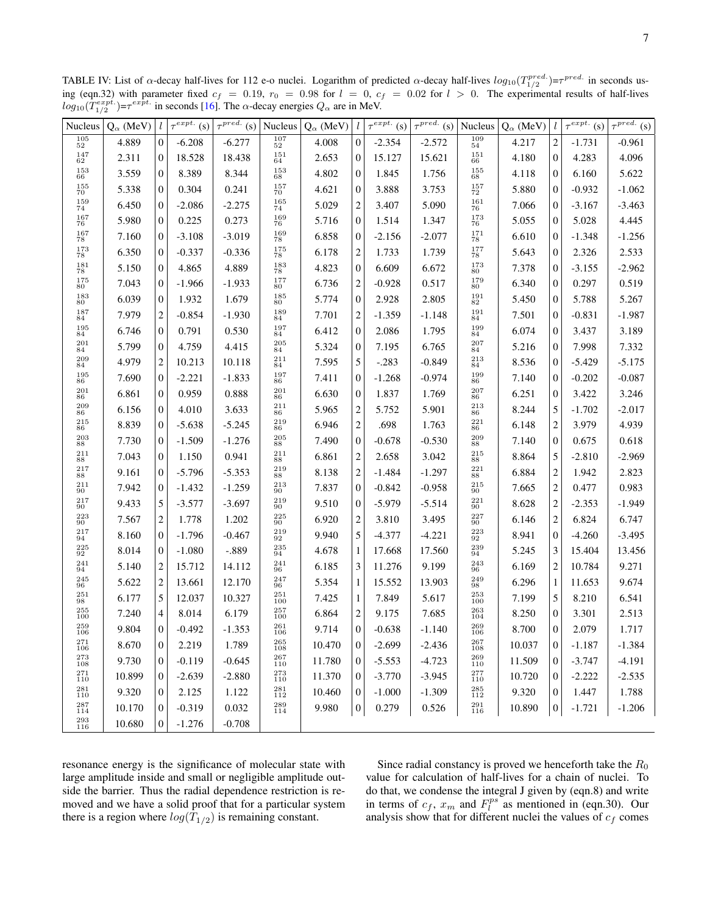<span id="page-6-0"></span>TABLE IV: List of  $\alpha$ -decay half-lives for 112 e-o nuclei. Logarithm of predicted  $\alpha$ -decay half-lives  $log_{10}(T_{1/2}^{pred.}) = \tau^{pred.}$  in seconds using (eqn.32) with parameter fixed  $c_f = 0.19$ ,  $r_0 = 0.98$  for  $l = 0$ ,  $c_f = 0.02$  for  $l > 0$ . The experimental results of half-lives  $log_{10}(T_{1/2}^{expt.}) = \tau^{expt.}$  in seconds [\[16\]](#page-11-11). The  $\alpha$ -decay energies  $Q_{\alpha}$  are in MeV.

| Nucleus                                   | $Q_{\alpha}$ (MeV) | $l_{\rm}$        | $\overline{\tau^{expt.}}(s)$ |          |                                          | $\tau^{pred.}$ (s)   Nucleus   Q <sub><math>\alpha</math></sub> (MeV) | $l_{\rm}$        | $\tau^{expt.}$ (s) | $\tau^{pred.}$ (s) | Nucleus                                  | $Q_{\alpha}$ (MeV) | l                | $\overline{\tau^{expt.}}(s)$ | $\overline{\tau^{pred.}}$ (s) |
|-------------------------------------------|--------------------|------------------|------------------------------|----------|------------------------------------------|-----------------------------------------------------------------------|------------------|--------------------|--------------------|------------------------------------------|--------------------|------------------|------------------------------|-------------------------------|
| $\substack{105\\52}$                      | 4.889              | $\mathbf{0}$     | $-6.208$                     | $-6.277$ | $^{107}_{\ 52}$                          | 4.008                                                                 | $\boldsymbol{0}$ | $-2.354$           | $-2.572$           | $\substack{109\\54}$                     | 4.217              | $\overline{c}$   | $-1.731$                     | $-0.961$                      |
| $\substack{147\\62}$                      | 2.311              | $\boldsymbol{0}$ | 18.528                       | 18.438   | $\begin{array}{c} 151 \\ 64 \end{array}$ | 2.653                                                                 | $\boldsymbol{0}$ | 15.127             | 15.621             | $\begin{array}{c} 151 \\ 66 \end{array}$ | 4.180              | $\boldsymbol{0}$ | 4.283                        | 4.096                         |
| 153<br>66                                 | 3.559              | $\overline{0}$   | 8.389                        | 8.344    | $\begin{array}{c} 153 \\ 68 \end{array}$ | 4.802                                                                 | $\boldsymbol{0}$ | 1.845              | 1.756              | $\begin{array}{c} 155 \\ 68 \end{array}$ | 4.118              | $\boldsymbol{0}$ | 6.160                        | 5.622                         |
| $\substack{155 \\ 70}$                    | 5.338              | $\overline{0}$   | 0.304                        | 0.241    | $\substack{157 \\ 70}$                   | 4.621                                                                 | $\boldsymbol{0}$ | 3.888              | 3.753              | $\substack{157 \\ 72}$                   | 5.880              | $\boldsymbol{0}$ | $-0.932$                     | $-1.062$                      |
| $\substack{159\\74}$                      | 6.450              | $\mathbf{0}$     | $-2.086$                     | $-2.275$ | $\substack{165\\74}$                     | 5.029                                                                 | $\overline{c}$   | 3.407              | 5.090              | $\substack{161\\76}$                     | 7.066              | $\boldsymbol{0}$ | $-3.167$                     | $-3.463$                      |
| $\substack{167 \\ 76}$                    | 5.980              | $\mathbf{0}$     | 0.225                        | 0.273    | $\substack{169\\76}$                     | 5.716                                                                 | $\boldsymbol{0}$ | 1.514              | 1.347              | $\substack{173 \\ 76}$                   | 5.055              | $\boldsymbol{0}$ | 5.028                        | 4.445                         |
| $\substack{167 \\ 78}$                    | 7.160              | $\boldsymbol{0}$ | $-3.108$                     | $-3.019$ | $\substack{169\\78}$                     | 6.858                                                                 | $\boldsymbol{0}$ | $-2.156$           | $-2.077$           | $\begin{array}{c} 171 \\ 78 \end{array}$ | 6.610              | 0                | $-1.348$                     | $-1.256$                      |
| 173<br>78                                 | 6.350              | $\overline{0}$   | $-0.337$                     | $-0.336$ | 175<br>78                                | 6.178                                                                 | $\overline{c}$   | 1.733              | 1.739              | $^{177}_{78}$                            | 5.643              | $\overline{0}$   | 2.326                        | 2.533                         |
| $\substack{181\\78}$                      | 5.150              | $\mathbf{0}$     | 4.865                        | 4.889    | $\substack{183 \\ 78}$                   | 4.823                                                                 | $\boldsymbol{0}$ | 6.609              | 6.672              | $_{\rm 80}^{173}$                        | 7.378              | 0                | $-3.155$                     | $-2.962$                      |
| $\substack{175\\80}$                      | 7.043              | $\theta$         | $-1.966$                     | $-1.933$ | $_{80}^{177}\,$                          | 6.736                                                                 | $\overline{c}$   | $-0.928$           | 0.517              | $\substack{179\\80}$                     | 6.340              | $\boldsymbol{0}$ | 0.297                        | 0.519                         |
| 183<br>80                                 | 6.039              | $\theta$         | 1.932                        | 1.679    | $\substack{185 \\ 80}$                   | 5.774                                                                 | $\overline{0}$   | 2.928              | 2.805              | $\substack{191\\82}$                     | 5.450              | 0                | 5.788                        | 5.267                         |
| $\substack{187\\84}$                      | 7.979              | $\overline{c}$   | $-0.854$                     | $-1.930$ | $\substack{189\\84}$                     | 7.701                                                                 | $\overline{c}$   | $-1.359$           | $-1.148$           | $\substack{191 \\ 84}$                   | 7.501              | $\boldsymbol{0}$ | $-0.831$                     | $-1.987$                      |
| $\substack{195 \\ 84}$                    | 6.746              | $\boldsymbol{0}$ | 0.791                        | 0.530    | $\substack{197 \\ 84}$                   | 6.412                                                                 | $\boldsymbol{0}$ | 2.086              | 1.795              | $\substack{199\\84}$                     | 6.074              | $\boldsymbol{0}$ | 3.437                        | 3.189                         |
| $\substack{201\\84}$                      | 5.799              | $\boldsymbol{0}$ | 4.759                        | 4.415    | $\substack{205 \\ 84}$                   | 5.324                                                                 | $\boldsymbol{0}$ | 7.195              | 6.765              | $\substack{207\\84}$                     | 5.216              | $\boldsymbol{0}$ | 7.998                        | 7.332                         |
| $\substack{209 \\ 84}$                    | 4.979              | $\overline{c}$   | 10.213                       | 10.118   | $\substack{211\\84}$                     | 7.595                                                                 | 5                | $-.283$            | $-0.849$           | $\substack{213\\84}$                     | 8.536              | 0                | $-5.429$                     | $-5.175$                      |
| $\substack{195\\86}$                      | 7.690              | $\boldsymbol{0}$ | $-2.221$                     | $-1.833$ | $\substack{197\\86}$                     | 7.411                                                                 | $\boldsymbol{0}$ | $-1.268$           | $-0.974$           | $\substack{199\\86}$                     | 7.140              | $\overline{0}$   | $-0.202$                     | $-0.087$                      |
| $\substack{201\\86}$                      | 6.861              | $\boldsymbol{0}$ | 0.959                        | 0.888    | $\substack{201\\86}$                     | 6.630                                                                 | $\boldsymbol{0}$ | 1.837              | 1.769              | $\substack{207\\86}$                     | 6.251              | $\boldsymbol{0}$ | 3.422                        | 3.246                         |
| $\substack{209\\86}$                      | 6.156              | $\boldsymbol{0}$ | 4.010                        | 3.633    | $\begin{array}{c} 211 \\ 86 \end{array}$ | 5.965                                                                 | $\overline{c}$   | 5.752              | 5.901              | $\substack{213\\86}$                     | 8.244              | 5                | $-1.702$                     | $-2.017$                      |
| $\substack{215 \\ 86}$                    | 8.839              | $\theta$         | $-5.638$                     | $-5.245$ | $\begin{array}{c} 219 \\ 86 \end{array}$ | 6.946                                                                 | $\overline{c}$   | .698               | 1.763              | $\substack{221 \\ 86}$                   | 6.148              | $\overline{2}$   | 3.979                        | 4.939                         |
| $\substack{203\\88}$                      | 7.730              | $\boldsymbol{0}$ | $-1.509$                     | $-1.276$ | $\substack{205 \\ 88}$                   | 7.490                                                                 | $\boldsymbol{0}$ | $-0.678$           | $-0.530$           | $\substack{209\\88}$                     | 7.140              | $\boldsymbol{0}$ | 0.675                        | 0.618                         |
| $\substack{211\\88}$                      | 7.043              | $\boldsymbol{0}$ | 1.150                        | 0.941    | $\substack{211\\88}$                     | 6.861                                                                 | $\overline{c}$   | 2.658              | 3.042              | $\substack{215\\88}$                     | 8.864              | 5                | $-2.810$                     | $-2.969$                      |
| $217\,$<br>88                             | 9.161              | $\boldsymbol{0}$ | $-5.796$                     | $-5.353$ | $\substack{219\\88}$                     | 8.138                                                                 | $\overline{c}$   | $-1.484$           | $-1.297$           | $\substack{221 \\ 88}$                   | 6.884              | $\overline{c}$   | 1.942                        | 2.823                         |
| $2\sqrt{1}1$<br>90                        | 7.942              | $\mathbf{0}$     | $-1.432$                     | $-1.259$ | $\substack{213 \\ 90}$                   | 7.837                                                                 | $\boldsymbol{0}$ | $-0.842$           | $-0.958$           | $\substack{215 \\ 90}$                   | 7.665              | $\overline{c}$   | 0.477                        | 0.983                         |
| $\substack{217 \\ 90}$                    | 9.433              | 5                | $-3.577$                     | $-3.697$ | $\substack{219\\90}$                     | 9.510                                                                 | $\boldsymbol{0}$ | $-5.979$           | $-5.514$           | $\substack{221 \\ 90}$                   | 8.628              | $\sqrt{2}$       | $-2.353$                     | $-1.949$                      |
| $\substack{223 \\ 90}$                    | 7.567              | $\overline{c}$   | 1.778                        | 1.202    | $\substack{225 \\ 90}$                   | 6.920                                                                 | $\overline{c}$   | 3.810              | 3.495              | $\substack{227 \\ 90}$                   | 6.146              | $\boldsymbol{2}$ | 6.824                        | 6.747                         |
| 217<br>94                                 | 8.160              | $\mathbf{0}$     | $-1.796$                     | $-0.467$ | $\substack{219\\92}$                     | 9.940                                                                 | 5                | $-4.377$           | $-4.221$           | $\substack{223 \\ 92}$                   | 8.941              | $\theta$         | $-4.260$                     | $-3.495$                      |
| $\substack{225 \\ 92}$                    | 8.014              | $\boldsymbol{0}$ | $-1.080$                     | $-.889$  | $\substack{235 \\ 94}$                   | 4.678                                                                 | $\mathbf{1}$     | 17.668             | 17.560             | $\substack{239\\94}$                     | 5.245              | 3                | 15.404                       | 13.456                        |
| $\substack{241\\94}$                      | 5.140              | $\overline{2}$   | 15.712                       | 14.112   | $\substack{241\\96}$                     | 6.185                                                                 | 3                | 11.276             | 9.199              | $\substack{243\\96}$                     | 6.169              | $\overline{c}$   | 10.784                       | 9.271                         |
| $\substack{245\\96}$                      | 5.622              | $\sqrt{2}$       | 13.661                       | 12.170   | $\substack{247\\96}$                     | 5.354                                                                 | 1                | 15.552             | 13.903             | $\substack{249\\98}$                     | 6.296              | $\mathbf{1}$     | 11.653                       | 9.674                         |
| $\substack{251\\98}$                      | 6.177              | 5                | 12.037                       | 10.327   | $\substack{251\\100}$                    | 7.425                                                                 | $\mathbf{1}$     | 7.849              | 5.617              | $\substack{253 \\ 100}$                  | 7.199              | 5                | 8.210                        | 6.541                         |
| $\substack{255 \\ 100}$                   | 7.240              | $\overline{4}$   | 8.014                        | 6.179    | $\substack{257\\100}$                    | 6.864                                                                 | $\overline{c}$   | 9.175              | 7.685              | $\substack{263 \\ 104}$                  | 8.250              | $\boldsymbol{0}$ | 3.301                        | 2.513                         |
| $\substack{259\\106}$                     | 9.804              | $\boldsymbol{0}$ | $-0.492$                     | $-1.353$ | $\substack{261\\106}$                    | 9.714                                                                 | $\mathbf{0}$     | $-0.638$           | $-1.140$           | $\substack{269\\106}$                    | 8.700              | $\mathbf{0}$     | 2.079                        | 1.717                         |
| $\substack{271 \\ 106}$                   | 8.670              | $\mathbf{0}$     | 2.219                        | 1.789    | $\substack{265 \\ 108}$                  | 10.470                                                                | $\boldsymbol{0}$ | $-2.699$           | $-2.436$           | $\substack{267 \\ 108}$                  | 10.037             | $\boldsymbol{0}$ | $-1.187$                     | $-1.384$                      |
| $\begin{array}{c} 273 \\ 108 \end{array}$ | 9.730              | $\boldsymbol{0}$ | $-0.119$                     | $-0.645$ | $\substack{267\\110}$                    | 11.780                                                                | 0                | $-5.553$           | $-4.723$           | $\substack{269\\110}$                    | 11.509             | 0                | $-3.747$                     | $-4.191$                      |
| $\substack{271 \\ 110}$                   | 10.899             | $\boldsymbol{0}$ | $-2.639$                     | $-2.880$ | $\substack{273 \\ 110}$                  | 11.370                                                                | 0                | $-3.770$           | $-3.945$           | $\substack{277 \\ 110}$                  | 10.720             | 0                | $-2.222$                     | $-2.535$                      |
| $\substack{281\\110}$                     | 9.320              | $\mathbf{0}$     | 2.125                        | 1.122    | $\substack{281\\112}$                    | 10.460                                                                | 0                | $-1.000$           | $-1.309$           | $\substack{285 \\ 112}$                  | 9.320              | $\overline{0}$   | 1.447                        | 1.788                         |
| $\substack{287\\114}$                     | 10.170             | $\boldsymbol{0}$ | $-0.319$                     | 0.032    | $\substack{289\\114}$                    | 9.980                                                                 | $\boldsymbol{0}$ | 0.279              | 0.526              | $\substack{291 \\ 116}$                  | 10.890             | $\boldsymbol{0}$ | $-1.721$                     | $-1.206$                      |
| $\substack{293 \\ 116}$                   | 10.680             | $\boldsymbol{0}$ | $-1.276$                     | $-0.708$ |                                          |                                                                       |                  |                    |                    |                                          |                    |                  |                              |                               |

resonance energy is the significance of molecular state with large amplitude inside and small or negligible amplitude outside the barrier. Thus the radial dependence restriction is removed and we have a solid proof that for a particular system there is a region where  $log(T_{1/2})$  is remaining constant.

Since radial constancy is proved we henceforth take the  $R_0$ value for calculation of half-lives for a chain of nuclei. To do that, we condense the integral J given by (eqn.8) and write in terms of  $c_f$ ,  $x_m$  and  $F_l^{ps}$  as mentioned in (eqn.30). Our analysis show that for different nuclei the values of  $c_f$  comes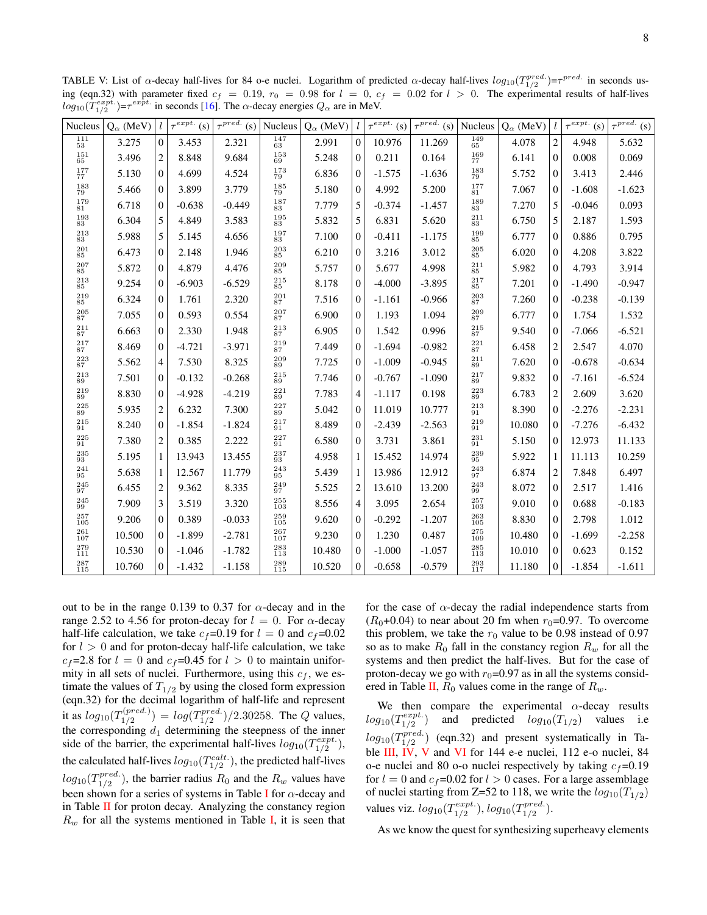| Nucleus                                  | $Q_{\alpha}$ (MeV) | l              | $\tau^{expt.}$ (s) | $\tau^{pred.}$ (s) | Nucleus                 | $Q_{\alpha}$ (MeV) | $l_{\rm}$      | $\tau^{expt.}$ (s) | $\overline{\tau^{pred.}}$ (s) | <b>Nucleus</b>                           | $Q_{\alpha}$ (MeV) |                  | $\tau^{expt.}$ (s) | $\tau^{pred.}$ (s) |
|------------------------------------------|--------------------|----------------|--------------------|--------------------|-------------------------|--------------------|----------------|--------------------|-------------------------------|------------------------------------------|--------------------|------------------|--------------------|--------------------|
| $\frac{111}{53}$                         | 3.275              | $\overline{0}$ | 3.453              | 2.321              | $\frac{147}{63}$        | 2.991              | $\overline{0}$ | 10.976             | 11.269                        | $\frac{149}{65}$                         | 4.078              | $\overline{c}$   | 4.948              | 5.632              |
| 151<br>65                                | 3.496              | 2              | 8.848              | 9.684              | $\substack{153\\69}$    | 5.248              | $\overline{0}$ | 0.211              | 0.164                         | $\substack{169\\77}$                     | 6.141              | $\boldsymbol{0}$ | 0.008              | 0.069              |
| $\frac{177}{77}$                         | 5.130              | $\overline{0}$ | 4.699              | 4.524              | $\substack{173 \\ 79}$  | 6.836              | $\overline{0}$ | $-1.575$           | $-1.636$                      | $\substack{183 \\ 79}$                   | 5.752              | 0                | 3.413              | 2.446              |
| $\substack{183 \\ 79}$                   | 5.466              | $\overline{0}$ | 3.899              | 3.779              | $\substack{185 \\ 79}$  | 5.180              | $\overline{0}$ | 4.992              | 5.200                         | $_{\rm 81}^{177}$                        | 7.067              | $\boldsymbol{0}$ | $-1.608$           | $-1.623$           |
| $\substack{179\\81}$                     | 6.718              | $\Omega$       | $-0.638$           | $-0.449$           | $\substack{187\\83}$    | 7.779              | 5              | $-0.374$           | $-1.457$                      | $\substack{189\\83}$                     | 7.270              | 5                | $-0.046$           | 0.093              |
| $\substack{193\\83}$                     | 6.304              | 5              | 4.849              | 3.583              | $\substack{195\\83}$    | 5.832              | 5              | 6.831              | 5.620                         | $\substack{211\\83}$                     | 6.750              | 5                | 2.187              | 1.593              |
| $\substack{213\\83}$                     | 5.988              | 5              | 5.145              | 4.656              | $\substack{197 \\ 83}$  | 7.100              | $\Omega$       | $-0.411$           | $-1.175$                      | $\substack{199\\85}$                     | 6.777              | $\overline{0}$   | 0.886              | 0.795              |
| $\substack{201\\85}$                     | 6.473              | $\Omega$       | 2.148              | 1.946              | $\substack{203\\85}$    | 6.210              | $\Omega$       | 3.216              | 3.012                         | $\substack{205\\85}$                     | 6.020              | $\overline{0}$   | 4.208              | 3.822              |
| $\substack{207 \\ 85}$                   | 5.872              | $\overline{0}$ | 4.879              | 4.476              | $\substack{209\\85}$    | 5.757              | $\mathbf{0}$   | 5.677              | 4.998                         | $\substack{211\\85}$                     | 5.982              | $\overline{0}$   | 4.793              | 3.914              |
| $\substack{213\\85}$                     | 9.254              | $\overline{0}$ | $-6.903$           | $-6.529$           | $\substack{215\\85}$    | 8.178              | $\theta$       | $-4.000$           | $-3.895$                      | $^{217}_{85}$                            | 7.201              | 0                | $-1.490$           | $-0.947$           |
| $\substack{219\\85}$                     | 6.324              | $\overline{0}$ | 1.761              | 2.320              | $\substack{201\\87}$    | 7.516              | $\overline{0}$ | $-1.161$           | $-0.966$                      | $\substack{203\\87}$                     | 7.260              | $\overline{0}$   | $-0.238$           | $-0.139$           |
| $\substack{205\\87}$                     | 7.055              | $\Omega$       | 0.593              | 0.554              | $\substack{207\\87}$    | 6.900              | $\overline{0}$ | 1.193              | 1.094                         | $\substack{209\\87}$                     | 6.777              | $\overline{0}$   | 1.754              | 1.532              |
| $\substack{211 \\ 87}$                   | 6.663              | $\overline{0}$ | 2.330              | 1.948              | $\substack{213\\87}$    | 6.905              | $\overline{0}$ | 1.542              | 0.996                         | $\substack{215\\87}$                     | 9.540              | 0                | $-7.066$           | $-6.521$           |
| $\substack{217 \\ 87}$                   | 8.469              | $\overline{0}$ | $-4.721$           | $-3.971$           | $\substack{219\\87}$    | 7.449              | $\Omega$       | $-1.694$           | $-0.982$                      | $\substack{221 \\ 87}$                   | 6.458              | 2                | 2.547              | 4.070              |
| $\substack{223 \\ 87}$                   | 5.562              | 4              | 7.530              | 8.325              | $\substack{209\\89}$    | 7.725              | $\Omega$       | $-1.009$           | $-0.945$                      | $\substack{211\\89}$                     | 7.620              | $\overline{0}$   | $-0.678$           | $-0.634$           |
| $\substack{213 \\ 89}$                   | 7.501              | $\overline{0}$ | $-0.132$           | $-0.268$           | $\substack{215 \\ 89}$  | 7.746              | $\Omega$       | $-0.767$           | $-1.090$                      | $^{217}_{89}\,$                          | 9.832              | $\overline{0}$   | $-7.161$           | $-6.524$           |
| $\substack{219\\89}$                     | 8.830              | $\mathbf{0}$   | $-4.928$           | $-4.219$           | $\substack{221 \\ 89}$  | 7.783              | 4              | $-1.117$           | 0.198                         | $\substack{223 \\ 89}$                   | 6.783              | $\overline{2}$   | 2.609              | 3.620              |
| $\substack{225 \\ 89}$                   | 5.935              | $\overline{c}$ | 6.232              | 7.300              | $\substack{227 \\ 89}$  | 5.042              | $\overline{0}$ | 11.019             | 10.777                        | $\substack{213\\91}$                     | 8.390              | $\overline{0}$   | $-2.276$           | $-2.231$           |
| $215\,$<br>91                            | 8.240              | $\Omega$       | $-1.854$           | $-1.824$           | $^{217}_{91}$           | 8.489              | $\overline{0}$ | $-2.439$           | $-2.563$                      | $\substack{219\\91}$                     | 10.080             | $\overline{0}$   | $-7.276$           | $-6.432$           |
| $\begin{array}{c} 225 \\ 91 \end{array}$ | 7.380              | 2              | 0.385              | 2.222              | $^{227}_{91}$           | 6.580              | $\mathbf{0}$   | 3.731              | 3.861                         | $\substack{231\\91}$                     | 5.150              | $\overline{0}$   | 12.973             | 11.133             |
| $\substack{235\\93}$                     | 5.195              | $\mathbf{1}$   | 13.943             | 13.455             | $\substack{237\\93}$    | 4.958              |                | 15.452             | 14.974                        | $\substack{239\\95}$                     | 5.922              | 1                | 11.113             | 10.259             |
| $\begin{array}{c} 241 \\ 95 \end{array}$ | 5.638              | $\mathbf{1}$   | 12.567             | 11.779             | 243<br>95               | 5.439              | 1              | 13.986             | 12.912                        | $\begin{array}{c} 243 \\ 97 \end{array}$ | 6.874              | $\overline{c}$   | 7.848              | 6.497              |
| $\substack{245\\97}$                     | 6.455              | 2              | 9.362              | 8.335              | $\substack{249\\97}$    | 5.525              | 2              | 13.610             | 13.200                        | $\substack{243\\99}$                     | 8.072              | $\overline{0}$   | 2.517              | 1.416              |
| $\substack{245\\99}$                     | 7.909              | 3              | 3.519              | 3.320              | $\substack{255 \\ 103}$ | 8.556              | 4              | 3.095              | 2.654                         | $\substack{257\\103}$                    | 9.010              | 0                | 0.688              | $-0.183$           |
| $\substack{257\\105}$                    | 9.206              | $\overline{0}$ | 0.389              | $-0.033$           | $\substack{259\\105}$   | 9.620              | $\overline{0}$ | $-0.292$           | $-1.207$                      | $\substack{263 \\ 105}$                  | 8.830              | $\overline{0}$   | 2.798              | 1.012              |
| $\substack{261\\107}$                    | 10.500             | $\Omega$       | $-1.899$           | $-2.781$           | $\substack{267\\107}$   | 9.230              | $\overline{0}$ | 1.230              | 0.487                         | $\substack{275 \\ 109}$                  | 10.480             | $\overline{0}$   | $-1.699$           | $-2.258$           |
| $\substack{279\\111}$                    | 10.530             | $\overline{0}$ | $-1.046$           | $-1.782$           | $\substack{283 \\ 113}$ | 10.480             | $\overline{0}$ | $-1.000$           | $-1.057$                      | $\substack{285 \\ 113}$                  | 10.010             | $\overline{0}$   | 0.623              | 0.152              |
| $\substack{287\\115}$                    | 10.760             | 0 <sup>1</sup> | $-1.432$           | $-1.158$           | $\substack{289\\115}$   | 10.520             | $\overline{0}$ | $-0.658$           | $-0.579$                      | $\substack{293 \\ 117}$                  | 11.180             | $\overline{0}$   | $-1.854$           | $-1.611$           |

<span id="page-7-0"></span>TABLE V: List of  $\alpha$ -decay half-lives for 84 o-e nuclei. Logarithm of predicted  $\alpha$ -decay half-lives  $log_{10}(T_{1/2}^{pred.}) = \tau^{pred.}$  in seconds using (eqn.32) with parameter fixed  $c_f = 0.19$ ,  $r_0 = 0.98$  for  $l = 0$ ,  $c_f = 0.02$  for  $l > 0$ . The experimental results of half-lives  $log_{10}(T_{1/2}^{expt.}) = \tau^{expt.}$  in seconds [\[16\]](#page-11-11). The  $\alpha$ -decay energies  $Q_{\alpha}$  are in MeV.

out to be in the range 0.139 to 0.37 for  $\alpha$ -decay and in the range 2.52 to 4.56 for proton-decay for  $l = 0$ . For  $\alpha$ -decay half-life calculation, we take  $c_f$ =0.19 for  $l = 0$  and  $c_f$ =0.02 for  $l > 0$  and for proton-decay half-life calculation, we take  $c_f$ =2.8 for  $l = 0$  and  $c_f$ =0.45 for  $l > 0$  to maintain uniformity in all sets of nuclei. Furthermore, using this  $c_f$ , we estimate the values of  $T_{1/2}$  by using the closed form expression (eqn.32) for the decimal logarithm of half-life and represent it as  $log_{10}(T_{1/2}^{(pred.)})$  $\delta^{(pred.)}_{1/2}) = log(T^{pred.}_{1/2})$  $\binom{area}{1/2}/2.30258$ . The Q values, the corresponding  $d_1$  determining the steepness of the inner side of the barrier, the experimental half-lives  $log_{10}(T_{1/2}^{expt.})$  $_{1/2}^{expt.}),$ the calculated half-lives  $log_{10}(T_{1/2}^{calt})$ , the predicted half-lives  $log_{10}(T_{1/2}^{pred.}$  $1/2^{prea}$ ), the barrier radius  $R_0$  and the  $R_w$  values have been shown for a series of systems in Table [I](#page-4-0) for  $\alpha$ -decay and in Table  $II$  for proton decay. Analyzing the constancy region  $R_w$  for all the systems mentioned in Table [I,](#page-4-0) it is seen that for the case of  $\alpha$ -decay the radial independence starts from  $(R_0+0.04)$  to near about 20 fm when  $r_0=0.97$ . To overcome this problem, we take the  $r_0$  value to be 0.98 instead of 0.97 so as to make  $R_0$  fall in the constancy region  $R_w$  for all the systems and then predict the half-lives. But for the case of proton-decay we go with  $r_0$ =0.97 as in all the systems consid-ered in Table [II,](#page-4-1)  $R_0$  values come in the range of  $R_w$ .

We then compare the experimental  $\alpha$ -decay results  $log_{10}(T_{1/2}^{expt.}$  $\binom{1/2}{1/2}$  and predicted  $log_{10}(T_{1/2})$  values i.e  $log_{10}(T_{1/2}^{pred.}$  $1/2^{prea}$ ) (eqn.32) and present systematically in Ta-ble [III,](#page-5-0) [IV,](#page-6-0) [V](#page-7-0) and [VI](#page-8-0) for 144 e-e nuclei, 112 e-o nuclei, 84 o-e nuclei and 80 o-o nuclei respectively by taking  $c_f$ =0.19 for  $l = 0$  and  $c_f$ =0.02 for  $l > 0$  cases. For a large assemblage of nuclei starting from Z=52 to 118, we write the  $log_{10}(T_{1/2})$ values viz.  $log_{10}(T_{1/2}^{expt.})$  $\frac{1}{1/2}^{expt.}), log_{10}(T^{pred.})$  $_{1/2}^{prea.}).$ 

As we know the quest for synthesizing superheavy elements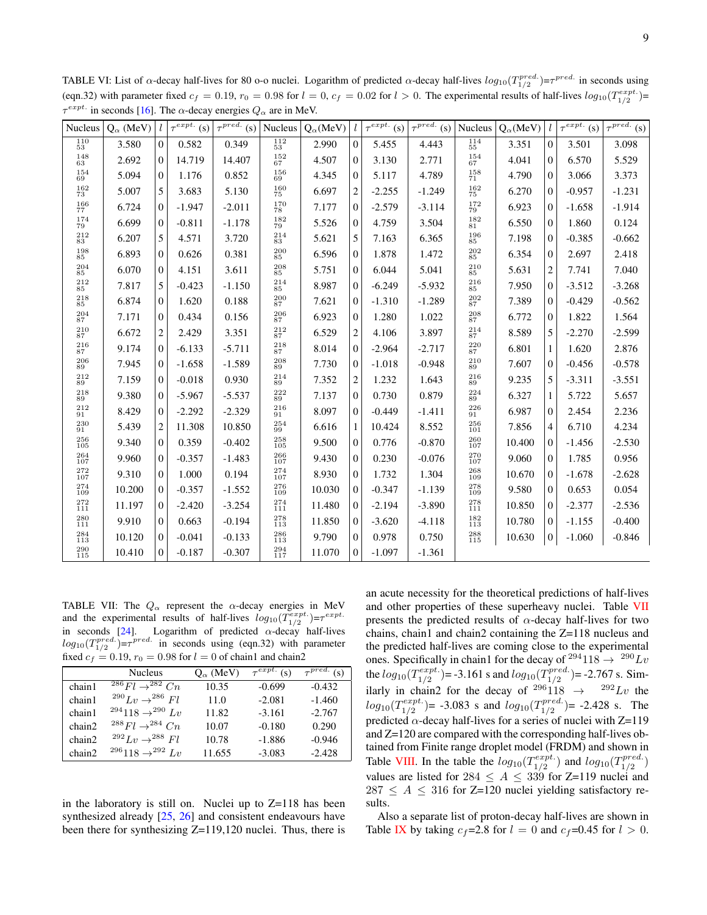<span id="page-8-0"></span>TABLE VI: List of  $\alpha$ -decay half-lives for 80 o-o nuclei. Logarithm of predicted  $\alpha$ -decay half-lives  $log_{10}(T_{1/2}^{pred.}) = \tau^{pred.}$  in seconds using (eqn.32) with parameter fixed  $c_f = 0.19$ ,  $r_0 = 0.98$  for  $l = 0$ ,  $c_f = 0.02$  for  $l > 0$ . The experimental results of half-lives  $log_{10}(T_{1/2}^{expt.})$  $\tau^{expt.}$  in seconds [\[16\]](#page-11-11). The  $\alpha$ -decay energies  $Q_{\alpha}$  are in MeV.

| Nucleus                                  | $Q_{\alpha}$ (MeV) | $l_{\rm}$        | $\tau^{expt.}$ (s) | $\tau^{pred.}$ (s) | Nucleus                                   | $Q_{\alpha}$ (MeV) |                  | $\tau^{expt.}$ (s) | $\overline{\tau}^{pred.}$ (s)   Nucleus |                         | $Q_{\alpha}$ (MeV) | $l_{-}$        | $\tau^{expt.}$ (s) | $\overline{\tau^{pred.}}$ (s) |
|------------------------------------------|--------------------|------------------|--------------------|--------------------|-------------------------------------------|--------------------|------------------|--------------------|-----------------------------------------|-------------------------|--------------------|----------------|--------------------|-------------------------------|
| $\frac{110}{53}$                         | 3.580              | $\boldsymbol{0}$ | 0.582              | 0.349              | $\frac{112}{53}$                          | 2.990              | $\boldsymbol{0}$ | 5.455              | 4.443                                   | $\frac{114}{55}$        | 3.351              | $\mathbf{0}$   | 3.501              | 3.098                         |
| $\begin{array}{c} 148 \\ 63 \end{array}$ | 2.692              | $\mathbf{0}$     | 14.719             | 14.407             | $\substack{152\\67}$                      | 4.507              | $\overline{0}$   | 3.130              | 2.771                                   | $\substack{154\\67}$    | 4.041              | $\mathbf{0}$   | 6.570              | 5.529                         |
| $\substack{154 \\ 69}$                   | 5.094              | $\overline{0}$   | 1.176              | 0.852              | $\substack{156 \\ 69}$                    | 4.345              | $\overline{0}$   | 5.117              | 4.789                                   | $\substack{158\\71}$    | 4.790              | $\mathbf{0}$   | 3.066              | 3.373                         |
| $\substack{162\\73}$                     | 5.007              | 5                | 3.683              | 5.130              | $\substack{160\\75}$                      | 6.697              | $\overline{2}$   | $-2.255$           | $-1.249$                                | $\substack{162\\75}$    | 6.270              | $\mathbf{0}$   | $-0.957$           | $-1.231$                      |
| $\substack{166 \\ 77}$                   | 6.724              | $\boldsymbol{0}$ | $-1.947$           | $-2.011$           | $^{170}_{78}\,$                           | 7.177              | $\boldsymbol{0}$ | $-2.579$           | $-3.114$                                | $\substack{172\\79}$    | 6.923              | $\mathbf{0}$   | $-1.658$           | $-1.914$                      |
| $\substack{174 \\ 79}$                   | 6.699              | $\mathbf{0}$     | $-0.811$           | $-1.178$           | $\begin{array}{c} 182 \\ 79 \end{array}$  | 5.526              | $\overline{0}$   | 4.759              | 3.504                                   | $\substack{182\\81}$    | 6.550              | $\mathbf{0}$   | 1.860              | 0.124                         |
| $\substack{212\\83}$                     | 6.207              | 5                | 4.571              | 3.720              | $\substack{214 \\ 83}$                    | 5.621              | 5                | 7.163              | 6.365                                   | $\substack{196\\85}$    | 7.198              | $\mathbf{0}$   | $-0.385$           | $-0.662$                      |
| $_{85}^{198}\,$                          | 6.893              | $\mathbf{0}$     | 0.626              | 0.381              | $\substack{200\\85}$                      | 6.596              | $\boldsymbol{0}$ | 1.878              | 1.472                                   | $\substack{202\\85}$    | 6.354              | $\mathbf{0}$   | 2.697              | 2.418                         |
| $\substack{204 \\ 85}$                   | 6.070              | $\overline{0}$   | 4.151              | 3.611              | $\substack{208\\85}$                      | 5.751              | $\overline{0}$   | 6.044              | 5.041                                   | $\substack{210\\85}$    | 5.631              | $\overline{c}$ | 7.741              | 7.040                         |
| 212<br>85                                | 7.817              | 5                | $-0.423$           | $-1.150$           | $\substack{214 \\ 85}$                    | 8.987              | $\mathbf{0}$     | $-6.249$           | $-5.932$                                | $\substack{216 \\ 85}$  | 7.950              | $\Omega$       | $-3.512$           | $-3.268$                      |
| $\substack{218\\85}$                     | 6.874              | $\overline{0}$   | 1.620              | 0.188              | $\substack{200\\87}$                      | 7.621              | $\boldsymbol{0}$ | $-1.310$           | $-1.289$                                | $\substack{202\\87}$    | 7.389              | $\mathbf{0}$   | $-0.429$           | $-0.562$                      |
| $\substack{204 \\ 87}$                   | 7.171              | $\Omega$         | 0.434              | 0.156              | $\substack{206 \\ 87}$                    | 6.923              | $\overline{0}$   | 1.280              | 1.022                                   | $\substack{208\\87}$    | 6.772              | $\mathbf{0}$   | 1.822              | 1.564                         |
| $\begin{array}{c} 210 \\ 87 \end{array}$ | 6.672              | $\overline{c}$   | 2.429              | 3.351              | $\begin{array}{c} 212 \\ 87 \end{array}$  | 6.529              | $\overline{2}$   | 4.106              | 3.897                                   | $\substack{214 \\ 87}$  | 8.589              | 5              | $-2.270$           | $-2.599$                      |
| $\substack{216 \\ 87}$                   | 9.174              | $\mathbf{0}$     | $-6.133$           | $-5.711$           | $\substack{218\\87}$                      | 8.014              | $\mathbf{0}$     | $-2.964$           | $-2.717$                                | $\substack{220\\87}$    | 6.801              | $\mathbf{1}$   | 1.620              | 2.876                         |
| $\substack{206 \\ 89}$                   | 7.945              | $\theta$         | $-1.658$           | $-1.589$           | $\substack{208\\89}$                      | 7.730              | $\overline{0}$   | $-1.018$           | $-0.948$                                | $^{210}_{89}\,$         | 7.607              | $\mathbf{0}$   | $-0.456$           | $-0.578$                      |
| $\substack{212\\89}$                     | 7.159              | $\Omega$         | $-0.018$           | 0.930              | $\substack{214 \\ 89}$                    | 7.352              | $\overline{2}$   | 1.232              | 1.643                                   | $\substack{216 \\ 89}$  | 9.235              | 5              | $-3.311$           | $-3.551$                      |
| $\substack{218\\89}$                     | 9.380              | $\mathbf{0}$     | $-5.967$           | $-5.537$           | $\substack{222 \\ 89}$                    | 7.137              | $\overline{0}$   | 0.730              | 0.879                                   | $\substack{224 \\ 89}$  | 6.327              | $\mathbf{1}$   | 5.722              | 5.657                         |
| $\substack{212\\91}$                     | 8.429              | $\mathbf{0}$     | $-2.292$           | $-2.329$           | $\substack{216\\91}$                      | 8.097              | $\Omega$         | $-0.449$           | $-1.411$                                | $\substack{226\\91}$    | 6.987              | $\mathbf{0}$   | 2.454              | 2.236                         |
| $\substack{230\\91}$                     | 5.439              | $\overline{c}$   | 11.308             | 10.850             | $\substack{254 \\ 99}$                    | 6.616              | 1                | 10.424             | 8.552                                   | $\substack{256 \\ 101}$ | 7.856              | $\overline{4}$ | 6.710              | 4.234                         |
| $\substack{256 \\ 105}$                  | 9.340              | $\overline{0}$   | 0.359              | $-0.402$           | $\begin{array}{c} 258 \\ 105 \end{array}$ | 9.500              | $\overline{0}$   | 0.776              | $-0.870$                                | $\substack{260\\107}$   | 10.400             | $\overline{0}$ | $-1.456$           | $-2.530$                      |
| $\substack{264 \\ 107}$                  | 9.960              | $\mathbf{0}$     | $-0.357$           | $-1.483$           | $\substack{266 \\ 107}$                   | 9.430              | $\overline{0}$   | 0.230              | $-0.076$                                | $\substack{270 \\ 107}$ | 9.060              | $\mathbf{0}$   | 1.785              | 0.956                         |
| $\substack{272 \\ 107}$                  | 9.310              | $\Omega$         | 1.000              | 0.194              | $\substack{274 \\ 107}$                   | 8.930              | $\overline{0}$   | 1.732              | 1.304                                   | $\substack{268 \\ 109}$ | 10.670             | $\overline{0}$ | $-1.678$           | $-2.628$                      |
| $\substack{274 \\ 109}$                  | 10.200             | $\overline{0}$   | $-0.357$           | $-1.552$           | $\substack{276 \\ 109}$                   | 10.030             | $\overline{0}$   | $-0.347$           | $-1.139$                                | $\substack{278 \\ 109}$ | 9.580              | $\mathbf{0}$   | 0.653              | 0.054                         |
| $\substack{272 \\ 111}$                  | 11.197             | $\mathbf{0}$     | $-2.420$           | $-3.254$           | $\substack{274 \\ 111}$                   | 11.480             | $\overline{0}$   | $-2.194$           | $-3.890$                                | $\substack{278 \\ 111}$ | 10.850             | $\mathbf{0}$   | $-2.377$           | $-2.536$                      |
| $\substack{280\\111}$                    | 9.910              | $\Omega$         | 0.663              | $-0.194$           | $\begin{array}{c} 278 \\ 113 \end{array}$ | 11.850             | $\boldsymbol{0}$ | $-3.620$           | $-4.118$                                | $\substack{182\\113}$   | 10.780             | $\mathbf{0}$   | $-1.155$           | $-0.400$                      |
| $\substack{284 \\ 113}$                  | 10.120             | $\overline{0}$   | $-0.041$           | $-0.133$           | $\substack{286 \\ 113}$                   | 9.790              | $\overline{0}$   | 0.978              | 0.750                                   | $\substack{288\\115}$   | 10.630             | $\mathbf{0}$   | $-1.060$           | $-0.846$                      |
| $\substack{290\\115}$                    | 10.410             | $\overline{0}$   | $-0.187$           | $-0.307$           | $^{294}_{117}$                            | 11.070             | $\mathbf{0}$     | $-1.097$           | $-1.361$                                |                         |                    |                |                    |                               |

<span id="page-8-1"></span>TABLE VII: The  $Q_{\alpha}$  represent the  $\alpha$ -decay energies in MeV and the experimental results of half-lives  $log_{10}(T_{1/2}^{expt.}) = \tau^{expt.}$ in seconds [\[24\]](#page-11-19). Logarithm of predicted  $\alpha$ -decay half-lives  $log_{10}(T_{1/2}^{pred.}) = \tau^{pred.}$  in seconds using (eqn.32) with parameter fixed  $c_f = 0.19$ ,  $r_0 = 0.98$  for  $l = 0$  of chain1 and chain2

|        | <b>Nucleus</b>                                 | $Q_{\alpha}$ (MeV) | $\tau^{expt.}$ (s) | $\tau^{pred.}$ (s) |
|--------|------------------------------------------------|--------------------|--------------------|--------------------|
| chain1 | $^{286}$ Fl $\rightarrow ^{282}$ Cn            | 10.35              | $-0.699$           | $-0.432$           |
| chain1 | $^{290}$ $L_{\eta} \rightarrow ^{286}$ Fl      | 11.0               | $-2.081$           | $-1.460$           |
| chain1 | $^{294}118 \rightarrow ^{290} Lv$              | 11.82              | $-3.161$           | $-2.767$           |
| chain2 | $^{288}$ Fl $\rightarrow ^{284}$ Cn            | 10.07              | $-0.180$           | 0.290              |
| chain2 | $^{292}$ $L_{\eta} \rightarrow ^{288}$ Fl      | 10.78              | $-1.886$           | $-0.946$           |
| chain2 | $^{296}118 \rightarrow ^{292}$ L <sub>11</sub> | 11.655             | $-3.083$           | $-2.428$           |

in the laboratory is still on. Nuclei up to  $Z=118$  has been synthesized already [\[25,](#page-11-20) [26\]](#page-11-21) and consistent endeavours have been there for synthesizing Z=119,120 nuclei. Thus, there is an acute necessity for the theoretical predictions of half-lives and other properties of these superheavy nuclei. Table [VII](#page-8-1) presents the predicted results of  $\alpha$ -decay half-lives for two chains, chain1 and chain2 containing the Z=118 nucleus and the predicted half-lives are coming close to the experimental ones. Specifically in chain1 for the decay of  $^{294}$ 118  $\rightarrow$   $^{290}Lv$ the  $log_{10}(T_{1/2}^{expt.})$  $\binom{expt}{1/2}$  = -3.161 s and  $log_{10}(T_{1/2}^{pred.})$  $t_{1/2}^{pred.}$ )= -2.767 s. Similarly in chain2 for the decay of <sup>296</sup>118  $\rightarrow$  <sup>292</sup>Lv the  $log_{10}(T_{1/2}^{expt.}$  $\binom{length}{1/2}$  = -3.083 s and  $log_{10}(T_{1/2}^{pred.})$  $T_{1/2}^{pred.}$  = -2.428 s. The predicted  $\alpha$ -decay half-lives for a series of nuclei with Z=119 and Z=120 are compared with the corresponding half-lives obtained from Finite range droplet model (FRDM) and shown in Table [VIII.](#page-9-0) In the table the  $log_{10}(T_{1/2}^{expt.})$  $\binom{1/2}{1/2}$  and  $log_{10}(T_{1/2}^{pred.})$  $\frac{1}{1/2}^{prea.}$ values are listed for  $284 \le A \le 339$  for Z=119 nuclei and  $287 \leq A \leq 316$  for Z=120 nuclei yielding satisfactory results.

Also a separate list of proton-decay half-lives are shown in Table [IX](#page-10-1) by taking  $c_f$ =2.8 for  $l = 0$  and  $c_f$ =0.45 for  $l > 0$ .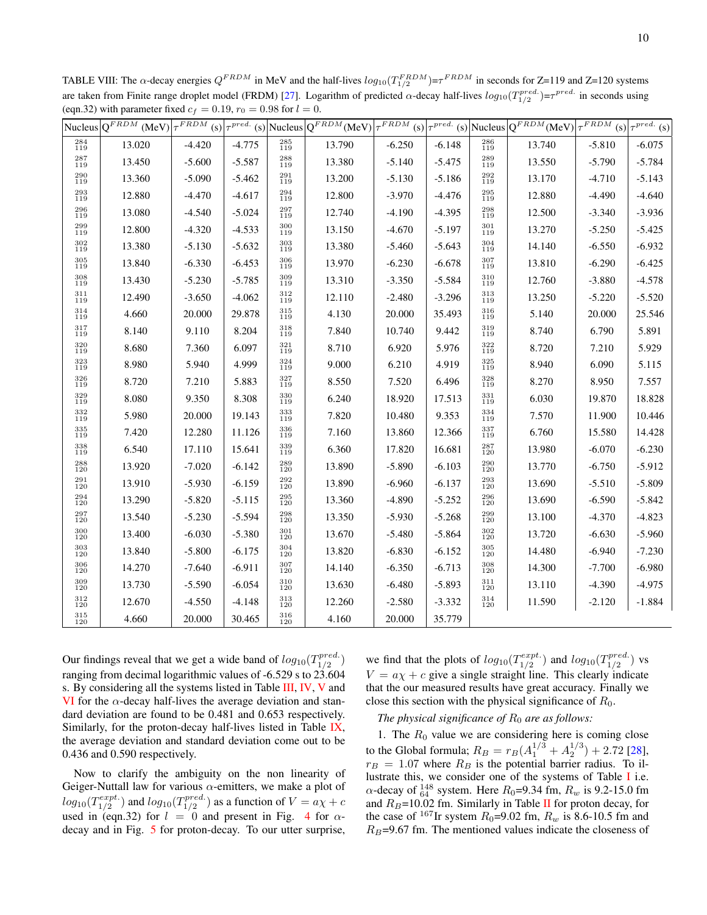<span id="page-9-0"></span>TABLE VIII: The  $\alpha$ -decay energies  $Q^{FRDM}$  in MeV and the half-lives  $log_{10}(T_{1/2}^{FRDM}) = \tau^{FRDM}$  in seconds for Z=119 and Z=120 systems are taken from Finite range droplet model (FRDM) [\[27\]](#page-11-22). Logarithm of predicted  $\alpha$ -decay half-lives  $log_{10}(T_{1/2}^{pred.}) = \tau^{pred.}$  in seconds using (eqn.32) with parameter fixed  $c_f = 0.19$ ,  $r_0 = 0.98$  for  $l = 0$ .

|                                           | Nucleus $ Q^{FRDM}$ (MeV) $ \tau^{FRDM}(s) \tau^{pred.}$ (s) Nucleus $ Q^{FRDM}$ (MeV) $ \tau^{FRDM}(s) \tau^{pred.}$ (s) Nucleus $ Q^{FRDM}$ (MeV) $ \tau^{FRDM}(s) \tau^{pred.}$ (s) |          |          |                                           |        |          |          |                                           |        |          |          |
|-------------------------------------------|----------------------------------------------------------------------------------------------------------------------------------------------------------------------------------------|----------|----------|-------------------------------------------|--------|----------|----------|-------------------------------------------|--------|----------|----------|
| $\substack{284 \\ 119}$                   | 13.020                                                                                                                                                                                 | $-4.420$ | $-4.775$ | $\substack{285 \\ 119}$                   | 13.790 | $-6.250$ | $-6.148$ | $\substack{286 \\ 119}$                   | 13.740 | $-5.810$ | $-6.075$ |
| $\substack{287\\119}$                     | 13.450                                                                                                                                                                                 | $-5.600$ | $-5.587$ | $\substack{288 \\ 119}$                   | 13.380 | $-5.140$ | $-5.475$ | $\substack{289\\119}$                     | 13.550 | $-5.790$ | $-5.784$ |
| $\substack{290 \\ 119}$                   | 13.360                                                                                                                                                                                 | $-5.090$ | $-5.462$ | $\substack{291\\119}$                     | 13.200 | $-5.130$ | $-5.186$ | $\substack{292\\119}$                     | 13.170 | $-4.710$ | $-5.143$ |
| $\substack{293 \\ 119}$                   | 12.880                                                                                                                                                                                 | $-4.470$ | $-4.617$ | $\substack{294 \\ 119}$                   | 12.800 | $-3.970$ | $-4.476$ | $\substack{295 \\ 119}$                   | 12.880 | $-4.490$ | $-4.640$ |
| $\substack{296 \\ 119}$                   | 13.080                                                                                                                                                                                 | $-4.540$ | $-5.024$ | $\substack{297 \\ 119}$                   | 12.740 | $-4.190$ | $-4.395$ | $\substack{298 \\ 119}$                   | 12.500 | $-3.340$ | $-3.936$ |
| $\substack{299 \\ 119}$                   | 12.800                                                                                                                                                                                 | $-4.320$ | $-4.533$ | $\substack{300\\119}$                     | 13.150 | $-4.670$ | $-5.197$ | $\substack{301\\119}$                     | 13.270 | $-5.250$ | $-5.425$ |
| $\substack{302\\119}$                     | 13.380                                                                                                                                                                                 | $-5.130$ | $-5.632$ | $\substack{303 \\ 119}$                   | 13.380 | $-5.460$ | $-5.643$ | $\substack{304 \\ 119}$                   | 14.140 | $-6.550$ | $-6.932$ |
| $\substack{305 \\ 119}$                   | 13.840                                                                                                                                                                                 | $-6.330$ | $-6.453$ | $\substack{306 \\ 119}$                   | 13.970 | $-6.230$ | $-6.678$ | $\substack{307\\119}$                     | 13.810 | $-6.290$ | $-6.425$ |
| $\substack{308\\119}$                     | 13.430                                                                                                                                                                                 | $-5.230$ | $-5.785$ | $\substack{309\\119}$                     | 13.310 | $-3.350$ | $-5.584$ | $\substack{310\\119}$                     | 12.760 | $-3.880$ | $-4.578$ |
| $\substack{311 \\ 119}$                   | 12.490                                                                                                                                                                                 | $-3.650$ | $-4.062$ | $\substack{312\\119}$                     | 12.110 | $-2.480$ | $-3.296$ | $\substack{313 \\ 119}$                   | 13.250 | $-5.220$ | $-5.520$ |
| $\substack{314\\119}$                     | 4.660                                                                                                                                                                                  | 20.000   | 29.878   | $\substack{315\\119}$                     | 4.130  | 20.000   | 35.493   | $\substack{316\\119}$                     | 5.140  | 20.000   | 25.546   |
| $\substack{317\\119}$                     | 8.140                                                                                                                                                                                  | 9.110    | 8.204    | $\substack{318\\119}$                     | 7.840  | 10.740   | 9.442    | $\substack{319\\119}$                     | 8.740  | 6.790    | 5.891    |
| $\substack{320\\119}$                     | 8.680                                                                                                                                                                                  | 7.360    | 6.097    | $\begin{array}{c} 321 \\ 119 \end{array}$ | 8.710  | 6.920    | 5.976    | $\substack{322 \\ 119}$                   | 8.720  | 7.210    | 5.929    |
| $\begin{array}{c} 323 \\ 119 \end{array}$ | 8.980                                                                                                                                                                                  | 5.940    | 4.999    | $\substack{324 \\ 119}$                   | 9.000  | 6.210    | 4.919    | $\substack{325 \\ 119}$                   | 8.940  | 6.090    | 5.115    |
| $\substack{326 \\ 119}$                   | 8.720                                                                                                                                                                                  | 7.210    | 5.883    | $\substack{327 \\ 119}$                   | 8.550  | 7.520    | 6.496    | $\substack{328\\119}$                     | 8.270  | 8.950    | 7.557    |
| $\substack{329\\119}$                     | 8.080                                                                                                                                                                                  | 9.350    | 8.308    | $\substack{330\\119}$                     | 6.240  | 18.920   | 17.513   | $\begin{array}{c} 331 \\ 119 \end{array}$ | 6.030  | 19.870   | 18.828   |
| $\substack{332\\119}$                     | 5.980                                                                                                                                                                                  | 20.000   | 19.143   | 333<br>119                                | 7.820  | 10.480   | 9.353    | $\substack{334 \\ 119}$                   | 7.570  | 11.900   | 10.446   |
| $\substack{335 \\ 119}$                   | 7.420                                                                                                                                                                                  | 12.280   | 11.126   | $\begin{array}{c} 336 \\ 119 \end{array}$ | 7.160  | 13.860   | 12.366   | $\substack{337\\119}$                     | 6.760  | 15.580   | 14.428   |
| $\underset{119}{\textbf{338}}$            | 6.540                                                                                                                                                                                  | 17.110   | 15.641   | $\begin{array}{c} 339 \\ 119 \end{array}$ | 6.360  | 17.820   | 16.681   | $\substack{287\\120}$                     | 13.980 | $-6.070$ | $-6.230$ |
| $\substack{288 \\ 120}$                   | 13.920                                                                                                                                                                                 | $-7.020$ | $-6.142$ | $\substack{289\\120}$                     | 13.890 | $-5.890$ | $-6.103$ | $\substack{290 \\ 120}$                   | 13.770 | $-6.750$ | $-5.912$ |
| $\substack{291 \\ 120}$                   | 13.910                                                                                                                                                                                 | $-5.930$ | $-6.159$ | $\substack{292\\120}$                     | 13.890 | $-6.960$ | $-6.137$ | $\substack{293 \\ 120}$                   | 13.690 | $-5.510$ | $-5.809$ |
| $\substack{294 \\ 120}$                   | 13.290                                                                                                                                                                                 | $-5.820$ | $-5.115$ | $\substack{295 \\ 120}$                   | 13.360 | $-4.890$ | $-5.252$ | $\substack{296 \\ 120}$                   | 13.690 | $-6.590$ | $-5.842$ |
| $\substack{297 \\ 120}$                   | 13.540                                                                                                                                                                                 | $-5.230$ | $-5.594$ | $\substack{298 \\ 120}$                   | 13.350 | $-5.930$ | $-5.268$ | $\substack{299 \\ 120}$                   | 13.100 | $-4.370$ | $-4.823$ |
| $\substack{300\\120}$                     | 13.400                                                                                                                                                                                 | $-6.030$ | $-5.380$ | $\substack{301\\120}$                     | 13.670 | $-5.480$ | $-5.864$ | $\substack{302\\120}$                     | 13.720 | $-6.630$ | $-5.960$ |
| $\substack{303 \\ 120}$                   | 13.840                                                                                                                                                                                 | $-5.800$ | $-6.175$ | $\substack{304 \\ 120}$                   | 13.820 | $-6.830$ | $-6.152$ | $\substack{305 \\ 120}$                   | 14.480 | $-6.940$ | $-7.230$ |
| $\substack{306 \\ 120}$                   | 14.270                                                                                                                                                                                 | $-7.640$ | $-6.911$ | $\substack{307\\120}$                     | 14.140 | $-6.350$ | $-6.713$ | $\substack{308\\120}$                     | 14.300 | $-7.700$ | $-6.980$ |
| $\substack{309\\120}$                     | 13.730                                                                                                                                                                                 | $-5.590$ | $-6.054$ | $\substack{310\\120}$                     | 13.630 | $-6.480$ | $-5.893$ | $\substack{311\\120}$                     | 13.110 | $-4.390$ | $-4.975$ |
| $\substack{312\\120}$                     | 12.670                                                                                                                                                                                 | $-4.550$ | $-4.148$ | $\substack{313\\120}$                     | 12.260 | $-2.580$ | $-3.332$ | $\substack{314\\120}$                     | 11.590 | $-2.120$ | $-1.884$ |
| $\substack{315 \\ 120}$                   | 4.660                                                                                                                                                                                  | 20.000   | 30.465   | $\substack{316\\120}$                     | 4.160  | 20.000   | 35.779   |                                           |        |          |          |

Our findings reveal that we get a wide band of  $log_{10}(T_{1/2}^{pred.})$  $_{1/2}^{pred.}$ ranging from decimal logarithmic values of -6.529 s to 23.604 s. By considering all the systems listed in Table [III,](#page-5-0) [IV,](#page-6-0) [V](#page-7-0) and [VI](#page-8-0) for the  $\alpha$ -decay half-lives the average deviation and standard deviation are found to be 0.481 and 0.653 respectively. Similarly, for the proton-decay half-lives listed in Table [IX,](#page-10-1) the average deviation and standard deviation come out to be 0.436 and 0.590 respectively.

Now to clarify the ambiguity on the non linearity of Geiger-Nuttall law for various  $\alpha$ -emitters, we make a plot of  $log_{10}(T_{1/2}^{expt.}$  $\frac{1}{2}^{expt.})$  and  $log_{10}(T^{pred.}_{1/2})$  $n_{1/2}^{pred.}$ ) as a function of  $V = a\chi + c$ used in (eqn.32) for  $l = 0$  and present in Fig. [4](#page-10-2) for  $\alpha$ decay and in Fig. [5](#page-10-3) for proton-decay. To our utter surprise,

we find that the plots of  $log_{10}(T_{1/2}^{expt.})$  $\frac{1}{2}^{expt.})$  and  $log_{10}(T^{pred.}_{1/2})$  $i_{1/2}^{pred.}$ ) vs  $V = a\chi + c$  give a single straight line. This clearly indicate that the our measured results have great accuracy. Finally we close this section with the physical significance of  $R_0$ .

## *The physical significance of*  $R_0$  *are as follows:*

1. The  $R_0$  value we are considering here is coming close to the Global formula;  $R_B = r_B(A_1^{1/3} + A_2^{1/3}) + 2.72$  [\[28\]](#page-11-23),  $r_B = 1.07$  where  $R_B$  is the potential barrier radius. To illustrate this, we consider one of the systems of Table [I](#page-4-0) i.e.  $\alpha$ -decay of  $_{64}^{148}$  system. Here  $R_0$ =9.34 fm,  $R_w$  is 9.2-15.0 fm and  $R_B$ =10.02 fm. Similarly in Table [II](#page-4-1) for proton decay, for the case of <sup>167</sup>Ir system  $R_0$ =9.02 fm,  $R_w$  is 8.6-10.5 fm and  $R_B$ =9.67 fm. The mentioned values indicate the closeness of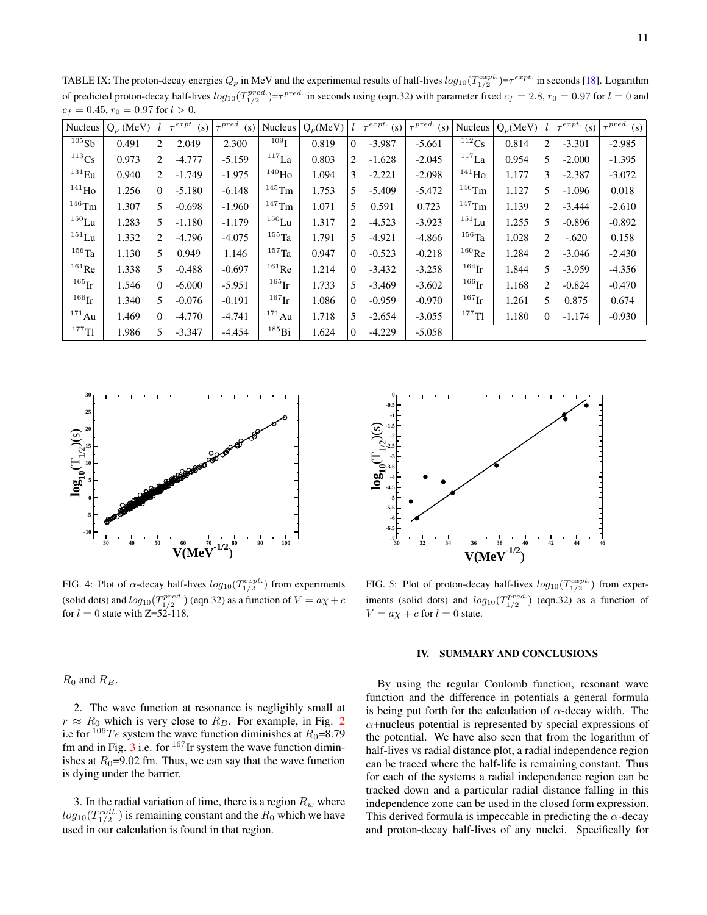<span id="page-10-1"></span>TABLE IX: The proton-decay energies  $Q_p$  in MeV and the experimental results of half-lives  $log_{10}(T_{1/2}^{expt.}) = \tau^{expt.}$  in seconds [\[18\]](#page-11-13). Logarithm of predicted proton-decay half-lives  $log_{10}(T_{1/2}^{pred.}) = \tau^{pred.}$  in seconds using (eqn.32) with parameter fixed  $c_f = 2.8$ ,  $r_0 = 0.97$  for  $l = 0$  and  $c_f = 0.45$ ,  $r_0 = 0.97$  for  $l > 0$ .

| <b>Nucleus</b>      | $Q_p$ (MeV) | l              | $+\tau^{expt.}$<br>(s) | $\tau^{pred.}$<br>(s) | <b>Nucleus</b>      | $Q_p$ (MeV) |                | $+\tau^{expt.}$<br>(s) | $\tau^{pred.}$<br>(s) | <b>Nucleus</b>      | $Q_p$ (MeV) |                | $\tau^{expt.}$<br>(s) | $\tau^{pred.}$<br>(s) |
|---------------------|-------------|----------------|------------------------|-----------------------|---------------------|-------------|----------------|------------------------|-----------------------|---------------------|-------------|----------------|-----------------------|-----------------------|
| 105Sb               | 0.491       | $\overline{2}$ | 2.049                  | 2.300                 | 109 <sub>T</sub>    | 0.819       | $\Omega$       | $-3.987$               | $-5.661$              | $112$ Cs            | 0.814       | 2              | $-3.301$              | $-2.985$              |
| $^{113}Cs$          | 0.973       | $\overline{2}$ | $-4.777$               | $-5.159$              | 117a                | 0.803       | $\overline{2}$ | $-1.628$               | $-2.045$              | $117$ La            | 0.954       | 5              | $-2.000$              | $-1.395$              |
| $^{131}\mathrm{Eu}$ | 0.940       | $\overline{c}$ | $-1.749$               | $-1.975$              | $^{140}\mathrm{Ho}$ | 1.094       | 3              | $-2.221$               | $-2.098$              | $^{141}$ Ho         | 1.177       | 3              | $-2.387$              | $-3.072$              |
| $^{141}$ Ho         | 1.256       | $\theta$       | $-5.180$               | $-6.148$              | $145$ Tm            | 1.753       | 5              | $-5.409$               | $-5.472$              | $146$ Tm            | 1.127       | 5              | $-1.096$              | 0.018                 |
| $^{146}\mathrm{Tm}$ | 1.307       | 5              | $-0.698$               | $-1.960$              | $147$ Tm            | 1.071       | 5              | 0.591                  | 0.723                 | $147$ Tm            | 1.139       | 2              | $-3.444$              | $-2.610$              |
| $^{150}\mbox{Lu}$   | 1.283       | 5              | $-1.180$               | $-1.179$              | $^{150}\mathrm{Lu}$ | 1.317       | 2              | $-4.523$               | $-3.923$              | $^{151}$ Lu         | 1.255       | 5              | $-0.896$              | $-0.892$              |
| $^{151}$ Lu         | 1.332       | $\overline{c}$ | $-4.796$               | $-4.075$              | $155$ Ta            | 1.791       | 5              | $-4.921$               | $-4.866$              | $156$ Ta            | 1.028       | 2              | $-.620$               | 0.158                 |
| $^{156}\mathrm{Ta}$ | 1.130       | 5              | 0.949                  | 1.146                 | $^{157}\mathrm{Ta}$ | 0.947       | $\Omega$       | $-0.523$               | $-0.218$              | $160$ Re            | 1.284       | 2              | $-3.046$              | $-2.430$              |
| $^{161}\mathrm{Re}$ | 1.338       | 5              | $-0.488$               | $-0.697$              | $^{161}\mathrm{Re}$ | 1.214       | 0              | $-3.432$               | $-3.258$              | $^{164}\mathrm{Ir}$ | 1.844       | 5              | $-3.959$              | $-4.356$              |
| $165$ <sub>Ir</sub> | 1.546       | $\theta$       | $-6.000$               | $-5.951$              | $^{165}\mathrm{Ir}$ | 1.733       | 5              | $-3.469$               | $-3.602$              | $^{166}\mathrm{Ir}$ | 1.168       | 2              | $-0.824$              | $-0.470$              |
| $^{166}\text{Ir}$   | 1.340       | 5              | $-0.076$               | $-0.191$              | $^{167}\mathrm{Ir}$ | 1.086       | 0              | $-0.959$               | $-0.970$              | $^{167}\mathrm{Ir}$ | 1.261       | 5              | 0.875                 | 0.674                 |
| $^{171}$ Au         | 1.469       | $\theta$       | $-4.770$               | $-4.741$              | $171$ Au            | 1.718       | 5              | $-2.654$               | $-3.055$              | $^{177}$ Tl         | 1.180       | $\overline{0}$ | $-1.174$              | $-0.930$              |
| $177$ Tl            | 1.986       | 5              | $-3.347$               | $-4.454$              | 185Bi               | 1.624       | 0              | $-4.229$               | $-5.058$              |                     |             |                |                       |                       |



<span id="page-10-2"></span>FIG. 4: Plot of  $\alpha$ -decay half-lives  $log_{10}(T_{1/2}^{expt.})$  from experiments (solid dots) and  $log_{10}(T_{1/2}^{pred.})$  (eqn.32) as a function of  $V = a\chi + c$ for  $l = 0$  state with  $Z = 52-118$ .

## $R_0$  and  $R_B$ .

2. The wave function at resonance is negligibly small at  $r \approx R_0$  which is very close to  $R_B$ . For example, in Fig. [2](#page-3-1) i.e for  $106Te$  system the wave function diminishes at  $R_0=8.79$ fm and in Fig.  $3$  i.e. for <sup>167</sup>Ir system the wave function diminishes at  $R_0$ =9.02 fm. Thus, we can say that the wave function is dying under the barrier.

3. In the radial variation of time, there is a region  $R_w$  where  $log_{10}(T_{1/2}^{calt.})$  is remaining constant and the  $R_0$  which we have used in our calculation is found in that region.



<span id="page-10-3"></span>FIG. 5: Plot of proton-decay half-lives  $log_{10}(T_{1/2}^{expt.})$  from experiments (solid dots) and  $log_{10}(T_{1/2}^{pred.})$  (eqn.32) as a function of  $V = a\chi + c$  for  $l = 0$  state.

#### <span id="page-10-0"></span>IV. SUMMARY AND CONCLUSIONS

By using the regular Coulomb function, resonant wave function and the difference in potentials a general formula is being put forth for the calculation of  $\alpha$ -decay width. The  $\alpha$ +nucleus potential is represented by special expressions of the potential. We have also seen that from the logarithm of half-lives vs radial distance plot, a radial independence region can be traced where the half-life is remaining constant. Thus for each of the systems a radial independence region can be tracked down and a particular radial distance falling in this independence zone can be used in the closed form expression. This derived formula is impeccable in predicting the  $\alpha$ -decay and proton-decay half-lives of any nuclei. Specifically for